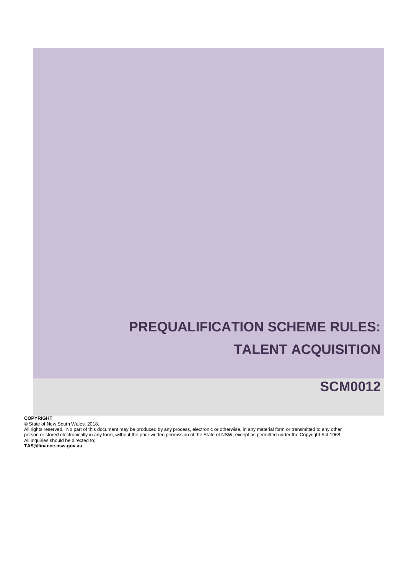# **PREQUALIFICATION SCHEME RULES: TALENT ACQUISITION**

**SCM0012**

### **COPYRIGHT**

© State of New South Wales, 2018.

All rights reserved. No part of this document may be produced by any process, electronic or otherwise, in any material form or transmitted to any other person or stored electronically in any form, without the prior written permission of the State of NSW, except as permitted under the Copyright Act 1968. All inquiries should be directed to;

**TAS@finance.nsw.gov.au**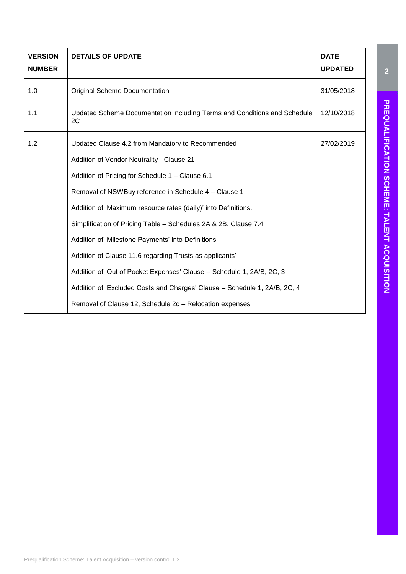| <b>VERSION</b><br><b>NUMBER</b> | <b>DETAILS OF UPDATE</b>                                                                     | <b>DATE</b><br><b>UPDATED</b> |
|---------------------------------|----------------------------------------------------------------------------------------------|-------------------------------|
| 1.0                             | <b>Original Scheme Documentation</b>                                                         | 31/05/2018                    |
| 1.1                             | Updated Scheme Documentation including Terms and Conditions and Schedule<br>2C               | 12/10/2018                    |
| 1.2                             | Updated Clause 4.2 from Mandatory to Recommended                                             | 27/02/2019                    |
|                                 | Addition of Vendor Neutrality - Clause 21<br>Addition of Pricing for Schedule 1 - Clause 6.1 |                               |
|                                 | Removal of NSWBuy reference in Schedule 4 - Clause 1                                         |                               |
|                                 | Addition of 'Maximum resource rates (daily)' into Definitions.                               |                               |
|                                 | Simplification of Pricing Table - Schedules 2A & 2B, Clause 7.4                              |                               |
|                                 | Addition of 'Milestone Payments' into Definitions                                            |                               |
|                                 | Addition of Clause 11.6 regarding Trusts as applicants'                                      |                               |
|                                 | Addition of 'Out of Pocket Expenses' Clause - Schedule 1, 2A/B, 2C, 3                        |                               |
|                                 | Addition of 'Excluded Costs and Charges' Clause - Schedule 1, 2A/B, 2C, 4                    |                               |
|                                 | Removal of Clause 12, Schedule 2c - Relocation expenses                                      |                               |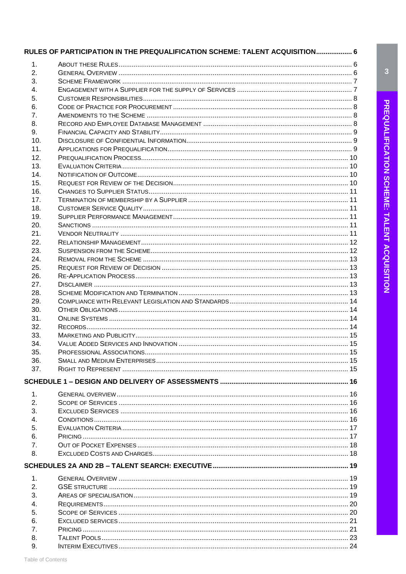|                | RULES OF PARTICIPATION IN THE PREQUALIFICATION SCHEME: TALENT ACQUISITION 6 |  |
|----------------|-----------------------------------------------------------------------------|--|
| 1.             |                                                                             |  |
| 2.             |                                                                             |  |
| 3.             |                                                                             |  |
| 4.             |                                                                             |  |
| 5.             |                                                                             |  |
| 6.             |                                                                             |  |
| 7.             |                                                                             |  |
| 8.             |                                                                             |  |
| 9.             |                                                                             |  |
| 10.            |                                                                             |  |
| 11.            |                                                                             |  |
| 12.            |                                                                             |  |
| 13.            |                                                                             |  |
| 14.            |                                                                             |  |
| 15.            |                                                                             |  |
| 16.            |                                                                             |  |
| 17.            |                                                                             |  |
| 18.            |                                                                             |  |
| 19.            |                                                                             |  |
| 20.            |                                                                             |  |
| 21.            |                                                                             |  |
| 22.            |                                                                             |  |
| 23.            |                                                                             |  |
| 24.            |                                                                             |  |
| 25.            |                                                                             |  |
| 26.            |                                                                             |  |
| 27.            |                                                                             |  |
| 28.            |                                                                             |  |
| 29.            |                                                                             |  |
| 30.            |                                                                             |  |
| 31.            |                                                                             |  |
| 32.            |                                                                             |  |
| 33.            |                                                                             |  |
| 34.            |                                                                             |  |
| 35.            |                                                                             |  |
| 36.            |                                                                             |  |
| 37.            |                                                                             |  |
|                |                                                                             |  |
|                |                                                                             |  |
| $\mathbf{1}$ . |                                                                             |  |
| 2.             |                                                                             |  |
| 3.             |                                                                             |  |
| 4.             |                                                                             |  |
| 5.             |                                                                             |  |
| 6.             |                                                                             |  |
| 7.             |                                                                             |  |
| 8.             |                                                                             |  |
|                |                                                                             |  |
| 1.             |                                                                             |  |
| 2.             |                                                                             |  |
| 3.             |                                                                             |  |
| 4.             |                                                                             |  |
| 5.             |                                                                             |  |
| 6.             |                                                                             |  |
| 7.             |                                                                             |  |
| 8.             |                                                                             |  |
| 9.             |                                                                             |  |

 $\overline{\mathbf{3}}$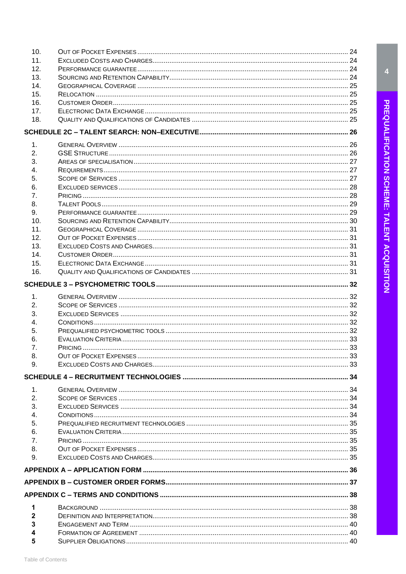| 10.            |  |
|----------------|--|
| 11.            |  |
| 12.            |  |
| 13.            |  |
| 14.            |  |
| 15.            |  |
| 16.            |  |
| 17.            |  |
| 18.            |  |
|                |  |
| 1.             |  |
| 2.             |  |
| 3.             |  |
| 4.             |  |
| 5.             |  |
| 6.             |  |
| 7.             |  |
| 8.             |  |
| 9.             |  |
| 10.            |  |
| 11.            |  |
| 12.            |  |
| 13.            |  |
| 14.            |  |
| 15.            |  |
| 16.            |  |
|                |  |
|                |  |
| 1.             |  |
| 2.             |  |
| 3.             |  |
| 4.             |  |
| 5.             |  |
| 6.             |  |
| 7.             |  |
| 8.             |  |
| 9.             |  |
|                |  |
| 1 <sub>1</sub> |  |
| 2.             |  |
| 3.             |  |
| 4.             |  |
| 5.             |  |
| 6.             |  |
| 7.             |  |
| 8.             |  |
| 9.             |  |
|                |  |
|                |  |
|                |  |
| 1              |  |
| 2              |  |
| 3              |  |
|                |  |
| 5              |  |
|                |  |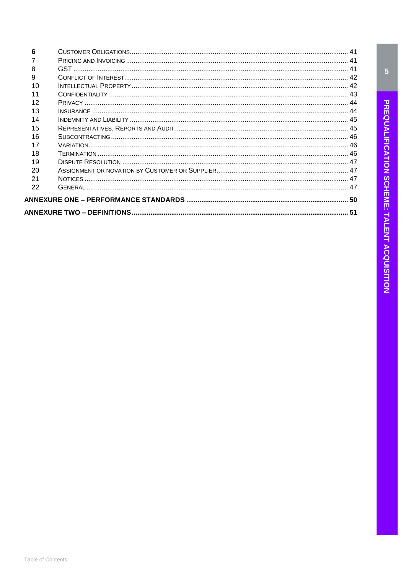| 6  |  |  |  |
|----|--|--|--|
|    |  |  |  |
| 8  |  |  |  |
| 9  |  |  |  |
| 10 |  |  |  |
| 11 |  |  |  |
| 12 |  |  |  |
| 13 |  |  |  |
| 14 |  |  |  |
| 15 |  |  |  |
| 16 |  |  |  |
| 17 |  |  |  |
| 18 |  |  |  |
| 19 |  |  |  |
| 20 |  |  |  |
| 21 |  |  |  |
| 22 |  |  |  |
|    |  |  |  |
|    |  |  |  |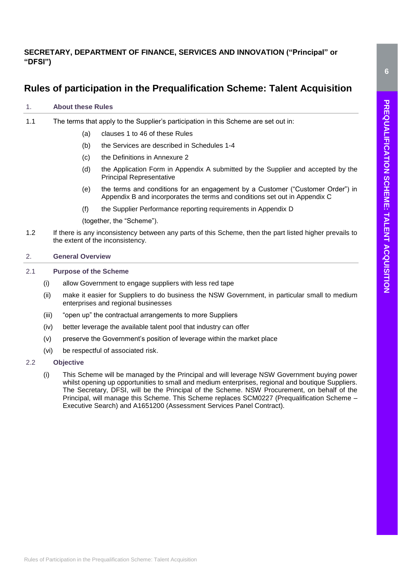# **SECRETARY, DEPARTMENT OF FINANCE, SERVICES AND INNOVATION ("Principal" or "DFSI")**

# <span id="page-5-0"></span>**Rules of participation in the Prequalification Scheme: Talent Acquisition**

# <span id="page-5-1"></span>1. **About these Rules**

- 1.1 The terms that apply to the Supplier's participation in this Scheme are set out in:
	- (a) clauses 1 to 46 of these Rules
	- (b) the Services are described in Schedules 1-4
	- (c) the Definitions in Annexure 2
	- (d) the Application Form in Appendix A submitted by the Supplier and accepted by the Principal Representative
	- (e) the terms and conditions for an engagement by a Customer ("Customer Order") in Appendix B and incorporates the terms and conditions set out in Appendix C
	- (f) the Supplier Performance reporting requirements in Appendix D

(together, the "Scheme").

1.2 If there is any inconsistency between any parts of this Scheme, then the part listed higher prevails to the extent of the inconsistency.

# <span id="page-5-2"></span>2. **General Overview**

# 2.1 **Purpose of the Scheme**

- (i) allow Government to engage suppliers with less red tape
- (ii) make it easier for Suppliers to do business the NSW Government, in particular small to medium enterprises and regional businesses
- (iii) "open up" the contractual arrangements to more Suppliers
- (iv) better leverage the available talent pool that industry can offer
- (v) preserve the Government's position of leverage within the market place
- (vi) be respectful of associated risk.

# 2.2 **Objective**

(i) This Scheme will be managed by the Principal and will leverage NSW Government buying power whilst opening up opportunities to small and medium enterprises, regional and boutique Suppliers. The Secretary, DFSI, will be the Principal of the Scheme. NSW Procurement, on behalf of the Principal, will manage this Scheme. This Scheme replaces SCM0227 (Prequalification Scheme – Executive Search) and A1651200 (Assessment Services Panel Contract).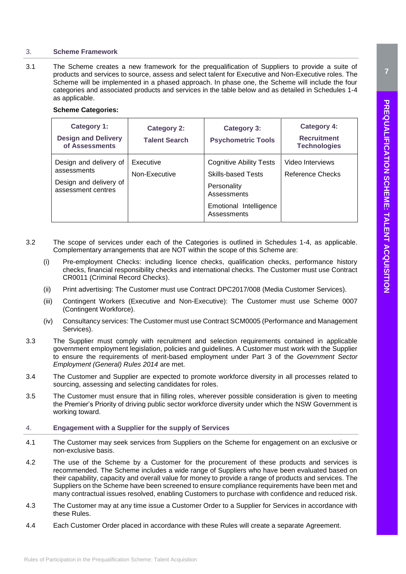<span id="page-6-0"></span>3.1 The Scheme creates a new framework for the prequalification of Suppliers to provide a suite of products and services to source, assess and select talent for Executive and Non-Executive roles. The Scheme will be implemented in a phased approach. In phase one, the Scheme will include the four categories and associated products and services in the table below and as detailed in Schedules 1-4 as applicable.

# **Scheme Categories:**

| Category 1:<br><b>Design and Delivery</b><br>of Assessments                           | <b>Category 2:</b><br><b>Talent Search</b> | <b>Category 3:</b><br><b>Psychometric Tools</b>                                                                                    | Category 4:<br><b>Recruitment</b><br><b>Technologies</b> |
|---------------------------------------------------------------------------------------|--------------------------------------------|------------------------------------------------------------------------------------------------------------------------------------|----------------------------------------------------------|
| Design and delivery of<br>assessments<br>Design and delivery of<br>assessment centres | Executive<br>Non-Executive                 | <b>Cognitive Ability Tests</b><br><b>Skills-based Tests</b><br>Personality<br>Assessments<br>Emotional Intelligence<br>Assessments | Video Interviews<br>Reference Checks                     |

- 3.2 The scope of services under each of the Categories is outlined in Schedules 1-4, as applicable. Complementary arrangements that are NOT within the scope of this Scheme are:
	- (i) Pre-employment Checks: including licence checks, qualification checks, performance history checks, financial responsibility checks and international checks. The Customer must use Contract CR0011 (Criminal Record Checks).
	- (ii) Print advertising: The Customer must use Contract DPC2017/008 (Media Customer Services).
	- (iii) Contingent Workers (Executive and Non-Executive): The Customer must use Scheme 0007 (Contingent Workforce).
	- (iv) Consultancy services: The Customer must use Contract SCM0005 (Performance and Management Services).
- 3.3 The Supplier must comply with recruitment and selection requirements contained in applicable government employment legislation, policies and guidelines. A Customer must work with the Supplier to ensure the requirements of merit-based employment under [Part 3](https://www.legislation.nsw.gov.au/#/view/regulation/2014/65/part3) of the *Government Sector Employment (General) Rules 2014* are met.
- 3.4 The Customer and Supplier are expected to promote workforce diversity in all processes related to sourcing, assessing and selecting candidates for roles.
- 3.5 The Customer must ensure that in filling roles, wherever possible consideration is given to meeting the [Premier's Priority](https://www.nsw.gov.au/improving-nsw/premiers-priorities/) of driving public sector workforce diversity under which the NSW Government is working toward.

# <span id="page-6-1"></span>4. **Engagement with a Supplier for the supply of Services**

- 4.1 The Customer may seek services from Suppliers on the Scheme for engagement on an exclusive or non-exclusive basis.
- 4.2 The use of the Scheme by a Customer for the procurement of these products and services is recommended. The Scheme includes a wide range of Suppliers who have been evaluated based on their capability, capacity and overall value for money to provide a range of products and services. The Suppliers on the Scheme have been screened to ensure compliance requirements have been met and many contractual issues resolved, enabling Customers to purchase with confidence and reduced risk.
- 4.3 The Customer may at any time issue a Customer Order to a Supplier for Services in accordance with these Rules.
- 4.4 Each Customer Order placed in accordance with these Rules will create a separate Agreement.

**7**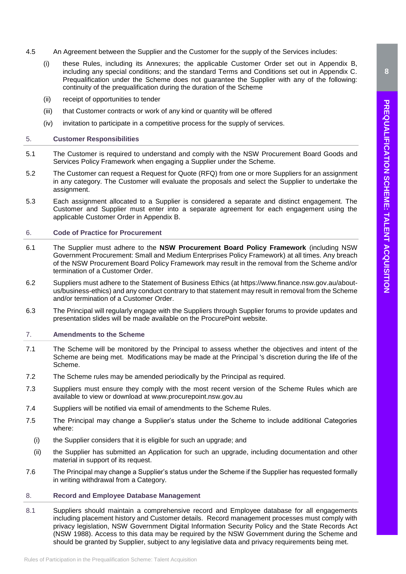- 4.5 An Agreement between the Supplier and the Customer for the supply of the Services includes:
	- (i) these Rules, including its Annexures; the applicable Customer Order set out in Appendix B, including any special conditions; and the standard Terms and Conditions set out in Appendix C. Prequalification under the Scheme does not guarantee the Supplier with any of the following: continuity of the prequalification during the duration of the Scheme
	- (ii) receipt of opportunities to tender
	- (iii) that Customer contracts or work of any kind or quantity will be offered
	- (iv) invitation to participate in a competitive process for the supply of services.

# <span id="page-7-0"></span>5. **Customer Responsibilities**

- 5.1 The Customer is required to understand and comply with the [NSW Procurement Board Goods and](https://www.procurepoint.nsw.gov.au/policy-and-reform/nsw-government-procurement-policy-framework)  [Services Policy Framework](https://www.procurepoint.nsw.gov.au/policy-and-reform/nsw-government-procurement-policy-framework) when engaging a Supplier under the Scheme.
- 5.2 The Customer can request a Request for Quote (RFQ) from one or more Suppliers for an assignment in any category. The Customer will evaluate the proposals and select the Supplier to undertake the assignment.
- 5.3 Each assignment allocated to a Supplier is considered a separate and distinct engagement. The Customer and Supplier must enter into a separate agreement for each engagement using the applicable Customer Order in Appendix B.

# <span id="page-7-1"></span>6. **Code of Practice for Procurement**

- 6.1 The Supplier must adhere to the **[NSW Procurement Board Policy Framework](https://www.procurepoint.nsw.gov.au/policy-and-reform/nsw-government-procurement-policy-framework)** (including NSW [Government Procurement: Small and Medium Enterprises Policy Framework\)](https://www.procurepoint.nsw.gov.au/policy-and-reform/nsw-government-procurement-policy-framework) at all times. Any breach of the NSW Procurement Board Policy Framework may result in the removal from the Scheme and/or termination of a Customer Order.
- 6.2 Suppliers must adhere to the Statement of Business Ethics (at https://www.finance.nsw.gov.au/aboutus/business-ethics) and any conduct contrary to that statement may result in removal from the Scheme and/or termination of a Customer Order.
- 6.3 The Principal will regularly engage with the Suppliers through Supplier forums to provide updates and presentation slides will be made available on the ProcurePoint website.

# <span id="page-7-2"></span>7. **Amendments to the Scheme**

- 7.1 The Scheme will be monitored by the Principal to assess whether the objectives and intent of the Scheme are being met. Modifications may be made at the Principal 's discretion during the life of the Scheme.
- 7.2 The Scheme rules may be amended periodically by the Principal as required.
- 7.3 Suppliers must ensure they comply with the most recent version of the Scheme Rules which are available to view or download at [www.procurepoint.nsw.gov.au](http://www.procurepoint.nsw.gov.au/)
- 7.4 Suppliers will be notified via email of amendments to the Scheme Rules.
- 7.5 The Principal may change a Supplier's status under the Scheme to include additional Categories where:
	- (i) the Supplier considers that it is eligible for such an upgrade; and
	- (ii) the Supplier has submitted an Application for such an upgrade, including documentation and other material in support of its request.
- 7.6 The Principal may change a Supplier's status under the Scheme if the Supplier has requested formally in writing withdrawal from a Category.

# <span id="page-7-3"></span>8. **Record and Employee Database Management**

8.1 Suppliers should maintain a comprehensive record and Employee database for all engagements including placement history and Customer details. Record management processes must comply with privacy legislation, NSW Government Digital Information Security Policy and the State Records Act (NSW 1988). Access to this data may be required by the NSW Government during the Scheme and should be granted by Supplier, subject to any legislative data and privacy requirements being met.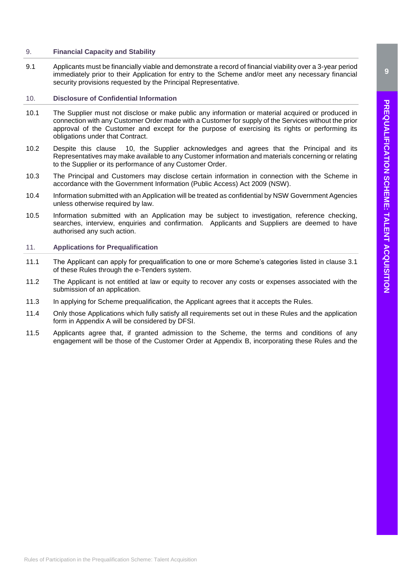# <span id="page-8-0"></span>9. **Financial Capacity and Stability**

9.1 Applicants must be financially viable and demonstrate a record of financial viability over a 3-year period immediately prior to their Application for entry to the Scheme and/or meet any necessary financial security provisions requested by the Principal Representative.

# <span id="page-8-1"></span>10. **Disclosure of Confidential Information**

- 10.1 The Supplier must not disclose or make public any information or material acquired or produced in connection with any Customer Order made with a Customer for supply of the Services without the prior approval of the Customer and except for the purpose of exercising its rights or performing its obligations under that Contract.
- 10.2 Despite this clause [10,](#page-8-1) the Supplier acknowledges and agrees that the Principal and its Representatives may make available to any Customer information and materials concerning or relating to the Supplier or its performance of any Customer Order.
- 10.3 The Principal and Customers may disclose certain information in connection with the Scheme in accordance with the Government Information (Public Access) Act 2009 (NSW).
- 10.4 Information submitted with an Application will be treated as confidential by NSW Government Agencies unless otherwise required by law.
- 10.5 Information submitted with an Application may be subject to investigation, reference checking, searches, interview, enquiries and confirmation. Applicants and Suppliers are deemed to have authorised any such action.

# <span id="page-8-2"></span>11. **Applications for Prequalification**

- 11.1 The Applicant can apply for prequalification to one or more Scheme's categories listed in clause 3.1 of these Rules through the e-Tenders system.
- 11.2 The Applicant is not entitled at law or equity to recover any costs or expenses associated with the submission of an application.
- 11.3 In applying for Scheme prequalification, the Applicant agrees that it accepts the Rules.
- 11.4 Only those Applications which fully satisfy all requirements set out in these Rules and the application form in Appendix A will be considered by DFSI.
- 11.5 Applicants agree that, if granted admission to the Scheme, the terms and conditions of any engagement will be those of the Customer Order at Appendix B, incorporating these Rules and the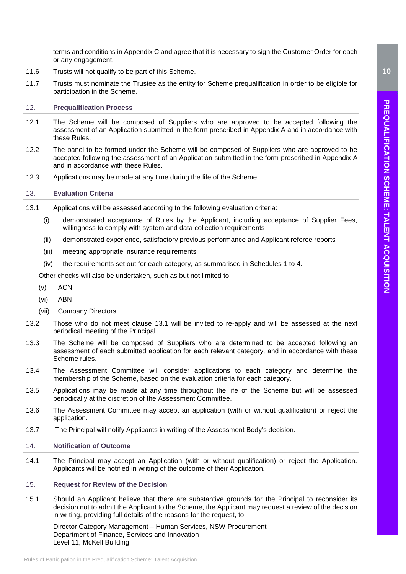terms and conditions in Appendix C and agree that it is necessary to sign the Customer Order for each or any engagement.

- 11.6 Trusts will not qualify to be part of this Scheme.
- 11.7 Trusts must nominate the Trustee as the entity for Scheme prequalification in order to be eligible for participation in the Scheme.

# <span id="page-9-0"></span>12. **Prequalification Process**

- 12.1 The Scheme will be composed of Suppliers who are approved to be accepted following the assessment of an Application submitted in the form prescribed in Appendix A and in accordance with these Rules.
- 12.2 The panel to be formed under the Scheme will be composed of Suppliers who are approved to be accepted following the assessment of an Application submitted in the form prescribed in Appendix A and in accordance with these Rules.
- 12.3 Applications may be made at any time during the life of the Scheme.

# <span id="page-9-1"></span>13. **Evaluation Criteria**

- <span id="page-9-4"></span>13.1 Applications will be assessed according to the following evaluation criteria:
	- (i) demonstrated acceptance of Rules by the Applicant, including acceptance of Supplier Fees, willingness to comply with system and data collection requirements
	- (ii) demonstrated experience, satisfactory previous performance and Applicant referee reports
	- (iii) meeting appropriate insurance requirements
	- (iv) the requirements set out for each category, as summarised in Schedules 1 to 4.

Other checks will also be undertaken, such as but not limited to:

- (v) ACN
- (vi) ABN
- (vii) Company Directors
- 13.2 Those who do not meet clause [13.1](#page-9-4) will be invited to re-apply and will be assessed at the next periodical meeting of the Principal.
- 13.3 The Scheme will be composed of Suppliers who are determined to be accepted following an assessment of each submitted application for each relevant category, and in accordance with these Scheme rules.
- 13.4 The Assessment Committee will consider applications to each category and determine the membership of the Scheme, based on the evaluation criteria for each category.
- 13.5 Applications may be made at any time throughout the life of the Scheme but will be assessed periodically at the discretion of the Assessment Committee.
- 13.6 The Assessment Committee may accept an application (with or without qualification) or reject the application.
- 13.7 The Principal will notify Applicants in writing of the Assessment Body's decision.

# <span id="page-9-2"></span>14. **Notification of Outcome**

14.1 The Principal may accept an Application (with or without qualification) or reject the Application. Applicants will be notified in writing of the outcome of their Application.

# <span id="page-9-3"></span>15. **Request for Review of the Decision**

15.1 Should an Applicant believe that there are substantive grounds for the Principal to reconsider its decision not to admit the Applicant to the Scheme, the Applicant may request a review of the decision in writing, providing full details of the reasons for the request, to:

Director Category Management – Human Services, NSW Procurement Department of Finance, Services and Innovation Level 11, McKell Building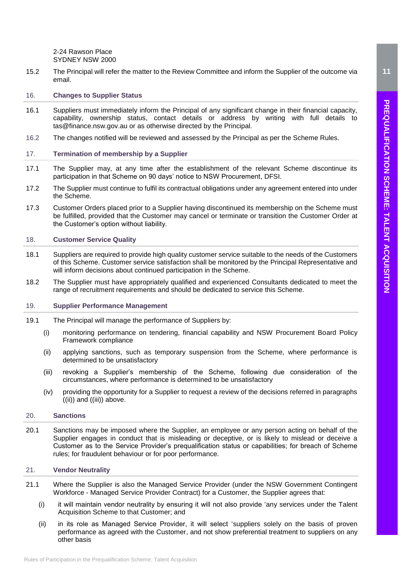2-24 Rawson Place SYDNEY NSW 2000

15.2 The Principal will refer the matter to the Review Committee and inform the Supplier of the outcome via email.

# <span id="page-10-0"></span>16. **Changes to Supplier Status**

- 16.1 Suppliers must immediately inform the Principal of any significant change in their financial capacity, capability, ownership status, contact details or address by writing with full details to tas@finance.nsw.gov.au or as otherwise directed by the Principal.
- 16.2 The changes notified will be reviewed and assessed by the Principal as per the Scheme Rules.

# <span id="page-10-1"></span>17. **Termination of membership by a Supplier**

- 17.1 The Supplier may, at any time after the establishment of the relevant Scheme discontinue its participation in that Scheme on 90 days' notice to NSW Procurement, DFSI.
- 17.2 The Supplier must continue to fulfil its contractual obligations under any agreement entered into under the Scheme.
- 17.3 Customer Orders placed prior to a Supplier having discontinued its membership on the Scheme must be fulfilled, provided that the Customer may cancel or terminate or transition the Customer Order at the Customer's option without liability.

### <span id="page-10-2"></span>18. **Customer Service Quality**

- 18.1 Suppliers are required to provide high quality customer service suitable to the needs of the Customers of this Scheme. Customer service satisfaction shall be monitored by the Principal Representative and will inform decisions about continued participation in the Scheme.
- 18.2 The Supplier must have appropriately qualified and experienced Consultants dedicated to meet the range of recruitment requirements and should be dedicated to service this Scheme.

### <span id="page-10-3"></span>19. **Supplier Performance Management**

- <span id="page-10-6"></span>19.1 The Principal will manage the performance of Suppliers by:
	- (i) monitoring performance on tendering, financial capability and NSW Procurement Board Policy Framework compliance
	- (ii) applying sanctions, such as temporary suspension from the Scheme, where performance is determined to be unsatisfactory
	- (iii) revoking a Supplier's membership of the Scheme, following due consideration of the circumstances, where performance is determined to be unsatisfactory
	- (iv) providing the opportunity for a Supplier to request a review of the decisions referred in paragraphs [\(\(ii\)\)](#page-10-6) and [\(\(iii\)\)](#page-10-7) above.

# <span id="page-10-7"></span><span id="page-10-4"></span>20. **Sanctions**

20.1 Sanctions may be imposed where the Supplier, an employee or any person acting on behalf of the Supplier engages in conduct that is misleading or deceptive, or is likely to mislead or deceive a Customer as to the Service Provider's prequalification status or capabilities; for breach of Scheme rules; for fraudulent behaviour or for poor performance.

# <span id="page-10-5"></span>21. **Vendor Neutrality**

- 21.1 Where the Supplier is also the Managed Service Provider (under the NSW Government Contingent Workforce - Managed Service Provider Contract) for a Customer, the Supplier agrees that:
	- (i) it will maintain vendor neutrality by ensuring it will not also provide 'any services under the Talent Acquisition Scheme to that Customer; and
	- (ii) in its role as Managed Service Provider, it will select 'suppliers solely on the basis of proven performance as agreed with the Customer, and not show preferential treatment to suppliers on any other basis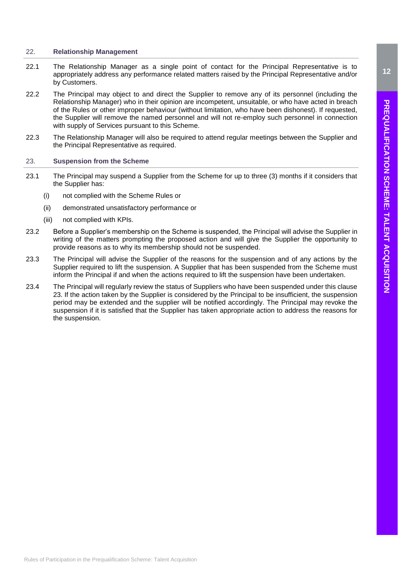# <span id="page-11-0"></span>22. **Relationship Management**

- 22.1 The Relationship Manager as a single point of contact for the Principal Representative is to appropriately address any performance related matters raised by the Principal Representative and/or by Customers.
- 22.2 The Principal may object to and direct the Supplier to remove any of its personnel (including the Relationship Manager) who in their opinion are incompetent, unsuitable, or who have acted in breach of the Rules or other improper behaviour (without limitation, who have been dishonest). If requested, the Supplier will remove the named personnel and will not re-employ such personnel in connection with supply of Services pursuant to this Scheme.
- 22.3 The Relationship Manager will also be required to attend regular meetings between the Supplier and the Principal Representative as required.

# <span id="page-11-1"></span>23. **Suspension from the Scheme**

- 23.1 The Principal may suspend a Supplier from the Scheme for up to three (3) months if it considers that the Supplier has:
	- (i) not complied with the Scheme Rules or
	- (ii) demonstrated unsatisfactory performance or
	- (iii) not complied with KPIs.
- 23.2 Before a Supplier's membership on the Scheme is suspended, the Principal will advise the Supplier in writing of the matters prompting the proposed action and will give the Supplier the opportunity to provide reasons as to why its membership should not be suspended.
- 23.3 The Principal will advise the Supplier of the reasons for the suspension and of any actions by the Supplier required to lift the suspension. A Supplier that has been suspended from the Scheme must inform the Principal if and when the actions required to lift the suspension have been undertaken.
- 23.4 The Principal will regularly review the status of Suppliers who have been suspended under this clause 23. If the action taken by the Supplier is considered by the Principal to be insufficient, the suspension period may be extended and the supplier will be notified accordingly. The Principal may revoke the suspension if it is satisfied that the Supplier has taken appropriate action to address the reasons for the suspension.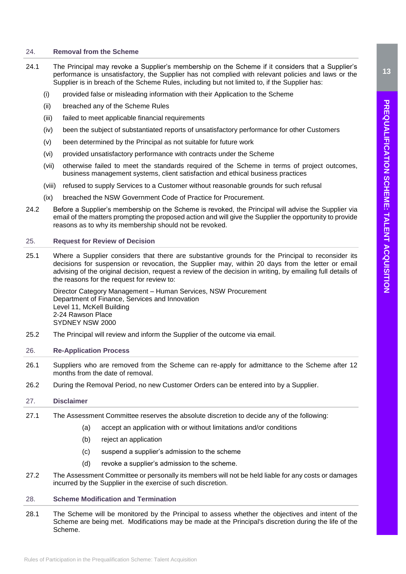# <span id="page-12-0"></span>24. **Removal from the Scheme**

- 24.1 The Principal may revoke a Supplier's membership on the Scheme if it considers that a Supplier's performance is unsatisfactory, the Supplier has not complied with relevant policies and laws or the Supplier is in breach of the Scheme Rules, including but not limited to, if the Supplier has:
	- (i) provided false or misleading information with their Application to the Scheme
	- (ii) breached any of the Scheme Rules
	- (iii) failed to meet applicable financial requirements
	- (iv) been the subject of substantiated reports of unsatisfactory performance for other Customers
	- (v) been determined by the Principal as not suitable for future work
	- (vi) provided unsatisfactory performance with contracts under the Scheme
	- (vii) otherwise failed to meet the standards required of the Scheme in terms of project outcomes, business management systems, client satisfaction and ethical business practices
	- (viii) refused to supply Services to a Customer without reasonable grounds for such refusal
	- (ix) breached the NSW Government Code of Practice for Procurement.
- 24.2 Before a Supplier's membership on the Scheme is revoked, the Principal will advise the Supplier via email of the matters prompting the proposed action and will give the Supplier the opportunity to provide reasons as to why its membership should not be revoked.

### <span id="page-12-1"></span>25. **Request for Review of Decision**

25.1 Where a Supplier considers that there are substantive grounds for the Principal to reconsider its decisions for suspension or revocation, the Supplier may, within 20 days from the letter or email advising of the original decision, request a review of the decision in writing, by emailing full details of the reasons for the request for review to:

Director Category Management – Human Services, NSW Procurement Department of Finance, Services and Innovation Level 11, McKell Building 2-24 Rawson Place SYDNEY NSW 2000

25.2 The Principal will review and inform the Supplier of the outcome via email.

# <span id="page-12-2"></span>26. **Re-Application Process**

- 26.1 Suppliers who are removed from the Scheme can re-apply for admittance to the Scheme after 12 months from the date of removal.
- 26.2 During the Removal Period, no new Customer Orders can be entered into by a Supplier.

# <span id="page-12-3"></span>27. **Disclaimer**

- 27.1 The Assessment Committee reserves the absolute discretion to decide any of the following:
	- (a) accept an application with or without limitations and/or conditions
	- (b) reject an application
	- (c) suspend a supplier's admission to the scheme
	- (d) revoke a supplier's admission to the scheme.
- 27.2 The Assessment Committee or personally its members will not be held liable for any costs or damages incurred by the Supplier in the exercise of such discretion.

# <span id="page-12-4"></span>28. **Scheme Modification and Termination**

28.1 The Scheme will be monitored by the Principal to assess whether the objectives and intent of the Scheme are being met. Modifications may be made at the Principal's discretion during the life of the Scheme.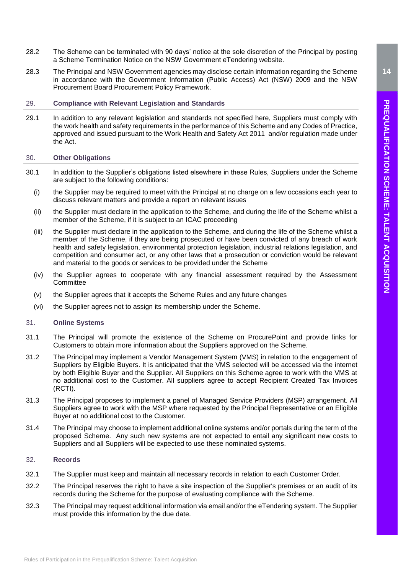- 28.2 The Scheme can be terminated with 90 days' notice at the sole discretion of the Principal by posting a Scheme Termination Notice on the NSW Government eTendering website.
- 28.3 The Principal and NSW Government agencies may disclose certain information regarding the Scheme in accordance with the Government Information (Public Access) Act (NSW) 2009 and the NSW Procurement Board Procurement Policy Framework.

# <span id="page-13-0"></span>29. **Compliance with Relevant Legislation and Standards**

29.1 In addition to any relevant legislation and standards not specified here, Suppliers must comply with the work health and safety requirements in the performance of this Scheme and any Codes of Practice, approved and issued pursuant to the [Work Health and Safety Act 2011](http://www.legislation.nsw.gov.au/maintop/view/inforce/act+10+2011+cd+0+N) and/or regulation made under the Act.

# <span id="page-13-1"></span>30. **Other Obligations**

- 30.1 In addition to the Supplier's obligations listed elsewhere in these Rules, Suppliers under the Scheme are subject to the following conditions:
	- (i) the Supplier may be required to meet with the Principal at no charge on a few occasions each year to discuss relevant matters and provide a report on relevant issues
	- (ii) the Supplier must declare in the application to the Scheme, and during the life of the Scheme whilst a member of the Scheme, if it is subject to an ICAC proceeding
	- (iii) the Supplier must declare in the application to the Scheme, and during the life of the Scheme whilst a member of the Scheme, if they are being prosecuted or have been convicted of any breach of work health and safety legislation, environmental protection legislation, industrial relations legislation, and competition and consumer act, or any other laws that a prosecution or conviction would be relevant and material to the goods or services to be provided under the Scheme
	- (iv) the Supplier agrees to cooperate with any financial assessment required by the Assessment **Committee**
	- (v) the Supplier agrees that it accepts the Scheme Rules and any future changes
	- (vi) the Supplier agrees not to assign its membership under the Scheme.

# <span id="page-13-2"></span>31. **Online Systems**

- 31.1 The Principal will promote the existence of the Scheme on ProcurePoint and provide links for Customers to obtain more information about the Suppliers approved on the Scheme.
- 31.2 The Principal may implement a Vendor Management System (VMS) in relation to the engagement of Suppliers by Eligible Buyers. It is anticipated that the VMS selected will be accessed via the internet by both Eligible Buyer and the Supplier. All Suppliers on this Scheme agree to work with the VMS at no additional cost to the Customer. All suppliers agree to accept Recipient Created Tax Invoices (RCTI).
- 31.3 The Principal proposes to implement a panel of Managed Service Providers (MSP) arrangement. All Suppliers agree to work with the MSP where requested by the Principal Representative or an Eligible Buyer at no additional cost to the Customer.
- 31.4 The Principal may choose to implement additional online systems and/or portals during the term of the proposed Scheme. Any such new systems are not expected to entail any significant new costs to Suppliers and all Suppliers will be expected to use these nominated systems.

# <span id="page-13-3"></span>32. **Records**

- 32.1 The Supplier must keep and maintain all necessary records in relation to each Customer Order.
- 32.2 The Principal reserves the right to have a site inspection of the Supplier's premises or an audit of its records during the Scheme for the purpose of evaluating compliance with the Scheme.
- 32.3 The Principal may request additional information via email and/or the eTendering system. The Supplier must provide this information by the due date.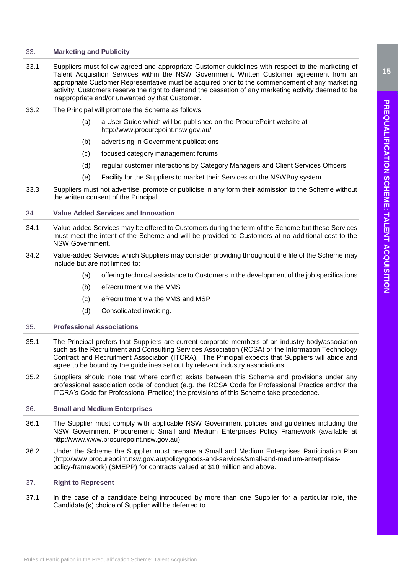# <span id="page-14-0"></span>33. **Marketing and Publicity**

- 33.1 Suppliers must follow agreed and appropriate Customer guidelines with respect to the marketing of Talent Acquisition Services within the NSW Government. Written Customer agreement from an appropriate Customer Representative must be acquired prior to the commencement of any marketing activity. Customers reserve the right to demand the cessation of any marketing activity deemed to be inappropriate and/or unwanted by that Customer.
- 33.2 The Principal will promote the Scheme as follows:
	- (a) a User Guide which will be published on the ProcurePoint website at <http://www.procurepoint.nsw.gov.au/>
	- (b) advertising in Government publications
	- (c) focused category management forums
	- (d) regular customer interactions by Category Managers and Client Services Officers
	- (e) Facility for the Suppliers to market their Services on the NSWBuy system.
- 33.3 Suppliers must not advertise, promote or publicise in any form their admission to the Scheme without the written consent of the Principal.

# <span id="page-14-1"></span>34. **Value Added Services and Innovation**

- 34.1 Value-added Services may be offered to Customers during the term of the Scheme but these Services must meet the intent of the Scheme and will be provided to Customers at no additional cost to the NSW Government.
- 34.2 Value-added Services which Suppliers may consider providing throughout the life of the Scheme may include but are not limited to:
	- (a) offering technical assistance to Customers in the development of the job specifications
	- (b) eRecruitment via the VMS
	- (c) eRecruitment via the VMS and MSP
	- (d) Consolidated invoicing.

# <span id="page-14-2"></span>35. **Professional Associations**

- 35.1 The Principal prefers that Suppliers are current corporate members of an industry body/association such as the Recruitment and Consulting Services Association (RCSA) or the Information Technology Contract and Recruitment Association (ITCRA). The Principal expects that Suppliers will abide and agree to be bound by the guidelines set out by relevant industry associations.
- 35.2 Suppliers should note that where conflict exists between this Scheme and provisions under any professional association code of conduct (e.g. the RCSA Code for Professional Practice and/or the ITCRA's Code for Professional Practice) the provisions of this Scheme take precedence.

# <span id="page-14-3"></span>36. **Small and Medium Enterprises**

- 36.1 The Supplier must comply with applicable NSW Government policies and guidelines including the NSW Government Procurement: Small and Medium Enterprises Policy Framework (available at [http://www.](http://www/)[www.procurepoint.nsw.gov.au\)](http://www.procurepoint.nsw.gov.au/).
- 36.2 Under the Scheme the Supplier must prepare a Small and Medium Enterprises Participation Plan [\(http://www.procurepoint.nsw.gov.au/policy/goods-and-services/small-and-medium-enterprises](http://www.procurepoint.nsw.gov.au/policy/goods-and-services/small-and-medium-enterprises-policy-framework)[policy-framework\)](http://www.procurepoint.nsw.gov.au/policy/goods-and-services/small-and-medium-enterprises-policy-framework) (SMEPP) for contracts valued at \$10 million and above.

# <span id="page-14-4"></span>37. **Right to Represent**

37.1 In the case of a candidate being introduced by more than one Supplier for a particular role, the Candidate'(s) choice of Supplier will be deferred to.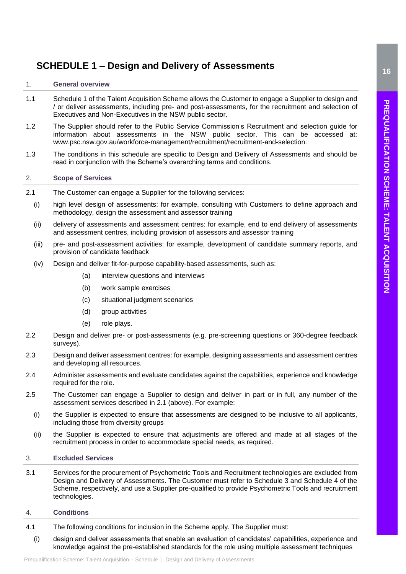# <span id="page-15-0"></span>**SCHEDULE 1 – Design and Delivery of Assessments**

# <span id="page-15-1"></span>1. **General overview**

- 1.1 Schedule 1 of the Talent Acquisition Scheme allows the Customer to engage a Supplier to design and / or deliver assessments, including pre- and post-assessments, for the recruitment and selection of Executives and Non-Executives in the NSW public sector.
- 1.2 The Supplier should refer to the Public Service Commission's Recruitment and selection guide for information about assessments in the NSW public sector. This can be accessed at: [www.psc.nsw.gov.au/workforce-management/recruitment/recruitment-and-selection.](http://www.psc.nsw.gov.au/workforce-management/recruitment/recruitment-and-selection)
- 1.3 The conditions in this schedule are specific to Design and Delivery of Assessments and should be read in conjunction with the Scheme's overarching terms and conditions.

# <span id="page-15-2"></span>2. **Scope of Services**

- 2.1 The Customer can engage a Supplier for the following services:
	- (i) high level design of assessments: for example, consulting with Customers to define approach and methodology, design the assessment and assessor training
	- (ii) delivery of assessments and assessment centres: for example, end to end delivery of assessments and assessment centres, including provision of assessors and assessor training
	- (iii) pre- and post-assessment activities: for example, development of candidate summary reports, and provision of candidate feedback
	- (iv) Design and deliver fit-for-purpose capability-based assessments, such as:
		- (a) interview questions and interviews
		- (b) work sample exercises
		- (c) situational judgment scenarios
		- (d) aroup activities
		- (e) role plays.
- 2.2 Design and deliver pre- or post-assessments (e.g. pre-screening questions or 360-degree feedback surveys).
- 2.3 Design and deliver assessment centres: for example, designing assessments and assessment centres and developing all resources.
- 2.4 Administer assessments and evaluate candidates against the capabilities, experience and knowledge required for the role.
- 2.5 The Customer can engage a Supplier to design and deliver in part or in full, any number of the assessment services described in 2.1 (above). For example:
	- (i) the Supplier is expected to ensure that assessments are designed to be inclusive to all applicants, including those from diversity groups
	- (ii) the Supplier is expected to ensure that adjustments are offered and made at all stages of the recruitment process in order to accommodate special needs, as required.

# <span id="page-15-3"></span>3. **Excluded Services**

3.1 Services for the procurement of Psychometric Tools and Recruitment technologies are excluded from Design and Delivery of Assessments. The Customer must refer to Schedule 3 and Schedule 4 of the Scheme, respectively, and use a Supplier pre-qualified to provide Psychometric Tools and recruitment technologies.

# <span id="page-15-4"></span>4. **Conditions**

- 4.1 The following conditions for inclusion in the Scheme apply. The Supplier must:
	- (i) design and deliver assessments that enable an evaluation of candidates' capabilities, experience and knowledge against the pre-established standards for the role using multiple assessment techniques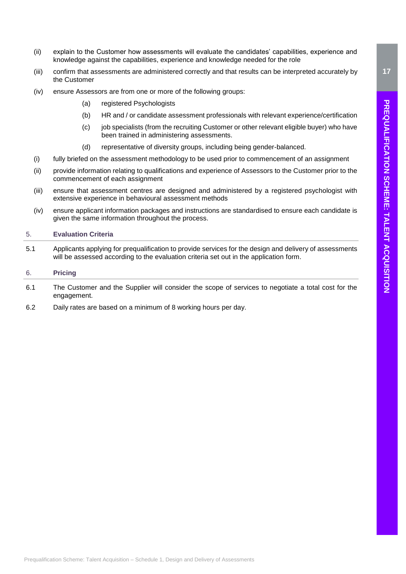- (ii) explain to the Customer how assessments will evaluate the candidates' capabilities, experience and knowledge against the capabilities, experience and knowledge needed for the role
- (iii) confirm that assessments are administered correctly and that results can be interpreted accurately by the Customer
- (iv) ensure Assessors are from one or more of the following groups:
	- (a) registered Psychologists
	- (b) HR and / or candidate assessment professionals with relevant experience/certification
	- (c) job specialists (from the recruiting Customer or other relevant eligible buyer) who have been trained in administering assessments.
	- (d) representative of diversity groups, including being gender-balanced.
- (i) fully briefed on the assessment methodology to be used prior to commencement of an assignment
- (ii) provide information relating to qualifications and experience of Assessors to the Customer prior to the commencement of each assignment
- (iii) ensure that assessment centres are designed and administered by a registered psychologist with extensive experience in behavioural assessment methods
- (iv) ensure applicant information packages and instructions are standardised to ensure each candidate is given the same information throughout the process.

# <span id="page-16-0"></span>5. **Evaluation Criteria**

5.1 Applicants applying for prequalification to provide services for the design and delivery of assessments will be assessed according to the evaluation criteria set out in the application form.

# <span id="page-16-1"></span>6. **Pricing**

- 6.1 The Customer and the Supplier will consider the scope of services to negotiate a total cost for the engagement.
- 6.2 Daily rates are based on a minimum of 8 working hours per day.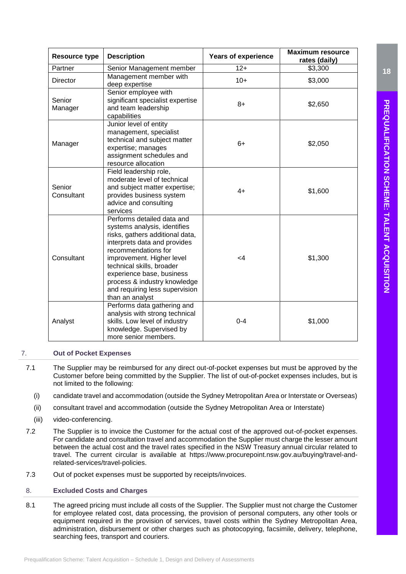| <b>Resource type</b> | <b>Description</b>                                                                                                                                                                                                                                                                                                               | <b>Years of experience</b> | <b>Maximum resource</b><br>rates (daily) |
|----------------------|----------------------------------------------------------------------------------------------------------------------------------------------------------------------------------------------------------------------------------------------------------------------------------------------------------------------------------|----------------------------|------------------------------------------|
| Partner              | Senior Management member                                                                                                                                                                                                                                                                                                         | $12+$                      | \$3,300                                  |
| <b>Director</b>      | Management member with<br>deep expertise                                                                                                                                                                                                                                                                                         | $10+$                      | \$3,000                                  |
| Senior<br>Manager    | Senior employee with<br>significant specialist expertise<br>and team leadership<br>capabilities                                                                                                                                                                                                                                  | $8+$                       | \$2,650                                  |
| Manager              | Junior level of entity<br>management, specialist<br>technical and subject matter<br>expertise; manages<br>assignment schedules and<br>resource allocation                                                                                                                                                                        | $6+$                       | \$2,050                                  |
| Senior<br>Consultant | Field leadership role,<br>moderate level of technical<br>and subject matter expertise;<br>provides business system<br>advice and consulting<br>services                                                                                                                                                                          | $4+$                       | \$1,600                                  |
| Consultant           | Performs detailed data and<br>systems analysis, identifies<br>risks, gathers additional data,<br>interprets data and provides<br>recommendations for<br>improvement. Higher level<br>technical skills, broader<br>experience base, business<br>process & industry knowledge<br>and requiring less supervision<br>than an analyst | $\leq$ 4                   | \$1,300                                  |
| Analyst              | Performs data gathering and<br>analysis with strong technical<br>skills. Low level of industry<br>knowledge. Supervised by<br>more senior members.                                                                                                                                                                               | $0 - 4$                    | \$1,000                                  |

# <span id="page-17-0"></span>7. **Out of Pocket Expenses**

- 7.1 The Supplier may be reimbursed for any direct out-of-pocket expenses but must be approved by the Customer before being committed by the Supplier. The list of out-of-pocket expenses includes, but is not limited to the following:
	- (i) candidate travel and accommodation (outside the Sydney Metropolitan Area or Interstate or Overseas)
	- (ii) consultant travel and accommodation (outside the Sydney Metropolitan Area or Interstate)
	- (iii) video-conferencing.
- 7.2 The Supplier is to invoice the Customer for the actual cost of the approved out-of-pocket expenses. For candidate and consultation travel and accommodation the Supplier must charge the lesser amount between the actual cost and the travel rates specified in the NSW Treasury annual circular related to travel. The current circular is available at [https://www.procurepoint.nsw.gov.au/buying/travel-and](https://www.procurepoint.nsw.gov.au/buying/travel-and-related-services/travel-policies)[related-services/travel-policies.](https://www.procurepoint.nsw.gov.au/buying/travel-and-related-services/travel-policies)
- 7.3 Out of pocket expenses must be supported by receipts/invoices.

# <span id="page-17-1"></span>8. **Excluded Costs and Charges**

8.1 The agreed pricing must include all costs of the Supplier. The Supplier must not charge the Customer for employee related cost, data processing, the provision of personal computers, any other tools or equipment required in the provision of services, travel costs within the Sydney Metropolitan Area, administration, disbursement or other charges such as photocopying, facsimile, delivery, telephone, searching fees, transport and couriers.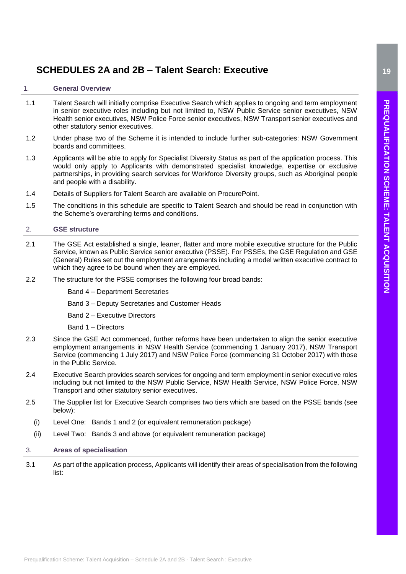# <span id="page-18-0"></span>**SCHEDULES 2A and 2B – Talent Search: Executive**

# <span id="page-18-1"></span>1. **General Overview**

- 1.1 Talent Search will initially comprise Executive Search which applies to ongoing and term employment in senior executive roles including but not limited to, NSW Public Service senior executives, NSW Health senior executives, NSW Police Force senior executives, NSW Transport senior executives and other statutory senior executives.
- 1.2 Under phase two of the Scheme it is intended to include further sub-categories: NSW Government boards and committees.
- 1.3 Applicants will be able to apply for Specialist Diversity Status as part of the application process. This would only apply to Applicants with demonstrated specialist knowledge, expertise or exclusive partnerships, in providing search services for Workforce Diversity groups, such as Aboriginal people and people with a disability.
- 1.4 Details of Suppliers for Talent Search are available on ProcurePoint.
- 1.5 The conditions in this schedule are specific to Talent Search and should be read in conjunction with the Scheme's overarching terms and conditions.

# <span id="page-18-2"></span>2. **GSE structure**

- 2.1 The GSE Act established a single, leaner, flatter and more mobile executive structure for the Public Service, known as Public Service senior executive (PSSE). For PSSEs, the GSE Regulation and GSE (General) Rules set out the employment arrangements including a model written executive contract to which they agree to be bound when they are employed.
- 2.2 The structure for the PSSE comprises the following four broad bands:
	- Band 4 Department Secretaries
	- Band 3 Deputy Secretaries and Customer Heads
	- Band 2 Executive Directors
	- Band 1 Directors
- 2.3 Since the GSE Act commenced, further reforms have been undertaken to align the senior executive employment arrangements in NSW Health Service (commencing 1 January 2017), NSW Transport Service (commencing 1 July 2017) and NSW Police Force (commencing 31 October 2017) with those in the Public Service.
- 2.4 Executive Search provides search services for ongoing and term employment in senior executive roles including but not limited to the NSW Public Service, NSW Health Service, NSW Police Force, NSW Transport and other statutory senior executives.
- 2.5 The Supplier list for Executive Search comprises two tiers which are based on the PSSE bands (see below):
	- (i) Level One: Bands 1 and 2 (or equivalent remuneration package)
- (ii) Level Two: Bands 3 and above (or equivalent remuneration package)

# <span id="page-18-3"></span>3. **Areas of specialisation**

3.1 As part of the application process, Applicants will identify their areas of specialisation from the following list: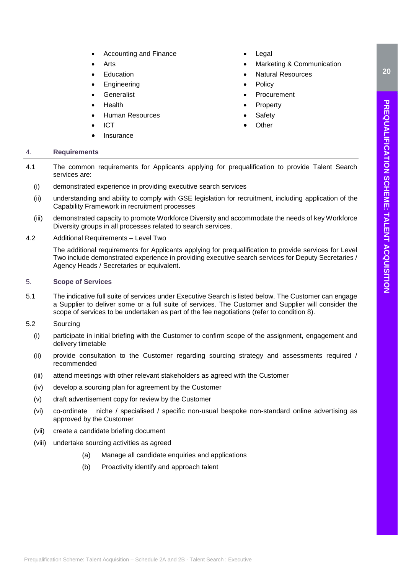- Accounting and Finance
- **Arts**
- **Education**
- **Engineering**
- Generalist
- Health
- Human Resources
- ICT
- **Insurance**
- **Legal**
- Marketing & Communication
- Natural Resources
- **Policy**
- **Procurement**
- **Property**
- **Safety**
- **Other**

# <span id="page-19-0"></span>4. **Requirements**

- 4.1 The common requirements for Applicants applying for prequalification to provide Talent Search services are:
- (i) demonstrated experience in providing executive search services
	- (ii) understanding and ability to comply with GSE legislation for recruitment, including application of the Capability Framework in recruitment processes
- (iii) demonstrated capacity to promote Workforce Diversity and accommodate the needs of key Workforce Diversity groups in all processes related to search services.
- 4.2 Additional Requirements Level Two

The additional requirements for Applicants applying for prequalification to provide services for Level Two include demonstrated experience in providing executive search services for Deputy Secretaries / Agency Heads / Secretaries or equivalent.

# <span id="page-19-1"></span>5. **Scope of Services**

<span id="page-19-2"></span>5.1 The indicative full suite of services under Executive Search is listed below. The Customer can engage a Supplier to deliver some or a full suite of services. The Customer and Supplier will consider the scope of services to be undertaken as part of the fee negotiations (refer to condition 8).

# 5.2 Sourcing

- (i) participate in initial briefing with the Customer to confirm scope of the assignment, engagement and delivery timetable
- (ii) provide consultation to the Customer regarding sourcing strategy and assessments required / recommended
- (iii) attend meetings with other relevant stakeholders as agreed with the Customer
- (iv) develop a sourcing plan for agreement by the Customer
- (v) draft advertisement copy for review by the Customer
- (vi) co-ordinate niche / specialised / specific non-usual bespoke non-standard online advertising as approved by the Customer
- (vii) create a candidate briefing document
- (viii) undertake sourcing activities as agreed
	- (a) Manage all candidate enquiries and applications
	- (b) Proactivity identify and approach talent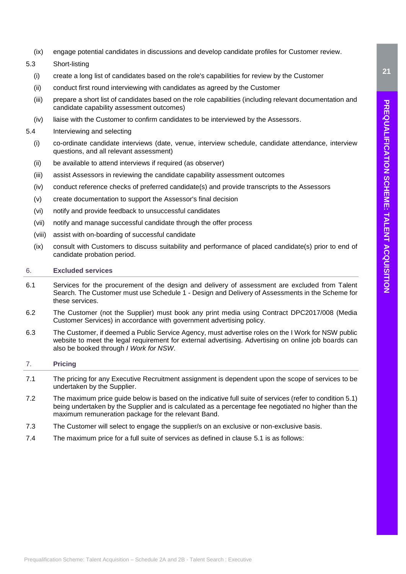- (ix) engage potential candidates in discussions and develop candidate profiles for Customer review.
- 5.3 Short-listing
	- (i) create a long list of candidates based on the role's capabilities for review by the Customer
	- (ii) conduct first round interviewing with candidates as agreed by the Customer
	- (iii) prepare a short list of candidates based on the role capabilities (including relevant documentation and candidate capability assessment outcomes)
	- (iv) liaise with the Customer to confirm candidates to be interviewed by the Assessors.
- 5.4 Interviewing and selecting
	- (i) co-ordinate candidate interviews (date, venue, interview schedule, candidate attendance, interview questions, and all relevant assessment)
	- (ii) be available to attend interviews if required (as observer)
	- (iii) assist Assessors in reviewing the candidate capability assessment outcomes
	- (iv) conduct reference checks of preferred candidate(s) and provide transcripts to the Assessors
	- (v) create documentation to support the Assessor's final decision
	- (vi) notify and provide feedback to unsuccessful candidates
	- (vii) notify and manage successful candidate through the offer process
	- (viii) assist with on-boarding of successful candidate
	- (ix) consult with Customers to discuss suitability and performance of placed candidate(s) prior to end of candidate probation period.

# <span id="page-20-0"></span>6. **Excluded services**

- 6.1 Services for the procurement of the design and delivery of assessment are excluded from Talent Search. The Customer must use Schedule 1 - Design and Delivery of Assessments in the Scheme for these services.
- 6.2 The Customer (not the Supplier) must book any print media using Contract DPC2017/008 (Media Customer Services) in accordance with [government advertising policy.](https://www.advertising.nsw.gov.au/advertising/advertising-requirements/)
- 6.3 The Customer, if deemed a Public Service Agency, must advertise roles on the I Work for NSW public website to meet the legal requirement for external advertising. Advertising on online job boards can also be booked through *I Work for NSW*.

# <span id="page-20-1"></span>7. **Pricing**

- 7.1 The pricing for any Executive Recruitment assignment is dependent upon the scope of services to be undertaken by the Supplier.
- 7.2 The maximum price guide below is based on the indicative full suite of services (refer to condition 5.1) being undertaken by the Supplier and is calculated as a percentage fee negotiated no higher than the maximum remuneration package for the relevant Band.
- 7.3 The Customer will select to engage the supplier/s on an exclusive or non-exclusive basis.
- 7.4 The maximum price for a full suite of services as defined in clause [5.1](#page-19-2) is as follows: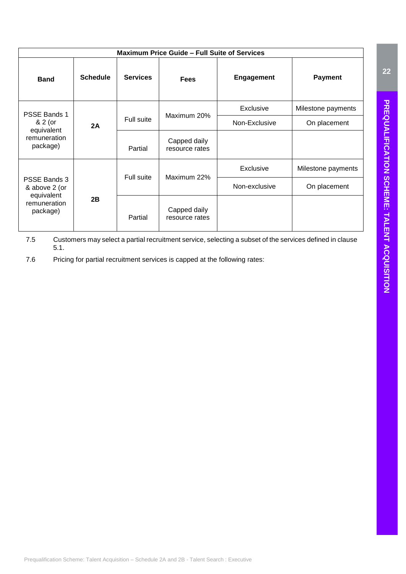| <b>Maximum Price Guide – Full Suite of Services</b>                     |                 |                           |                                |                   |                    |
|-------------------------------------------------------------------------|-----------------|---------------------------|--------------------------------|-------------------|--------------------|
| <b>Band</b>                                                             | <b>Schedule</b> | <b>Services</b>           | <b>Fees</b>                    | <b>Engagement</b> | <b>Payment</b>     |
| <b>PSSE Bands 1</b>                                                     |                 |                           |                                | <b>Exclusive</b>  | Milestone payments |
| & 2 (or                                                                 | 2A              | Maximum 20%<br>Full suite | Non-Exclusive                  | On placement      |                    |
| equivalent<br>remuneration<br>package)                                  |                 | Partial                   | Capped daily<br>resource rates |                   |                    |
| PSSE Bands 3<br>& above 2 (or<br>equivalent<br>remuneration<br>package) |                 |                           |                                | Exclusive         | Milestone payments |
|                                                                         |                 | Full suite                | Maximum 22%                    | Non-exclusive     | On placement       |
|                                                                         | 2B              | Partial                   | Capped daily<br>resource rates |                   |                    |

7.5 Customers may select a partial recruitment service, selecting a subset of the services defined in clause [5.1.](#page-19-2)

7.6 Pricing for partial recruitment services is capped at the following rates: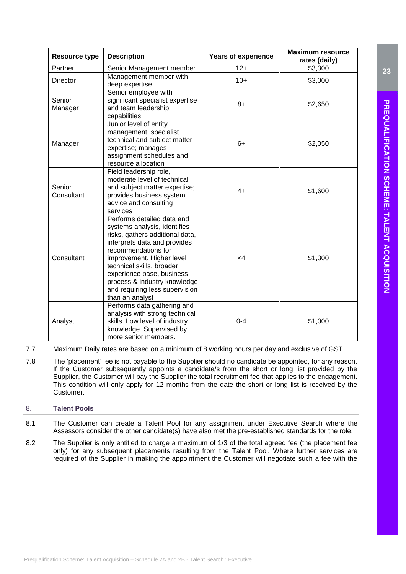| <b>Resource type</b>                                                                                                 | <b>Description</b>                                                                                                                                                                                                                                                                                                               | <b>Years of experience</b> | <b>Maximum resource</b><br>rates (daily) |
|----------------------------------------------------------------------------------------------------------------------|----------------------------------------------------------------------------------------------------------------------------------------------------------------------------------------------------------------------------------------------------------------------------------------------------------------------------------|----------------------------|------------------------------------------|
| Partner                                                                                                              | Senior Management member                                                                                                                                                                                                                                                                                                         | $12+$                      | \$3,300                                  |
| <b>Director</b>                                                                                                      | Management member with<br>deep expertise                                                                                                                                                                                                                                                                                         | $10+$                      | \$3,000                                  |
| Senior employee with<br>significant specialist expertise<br>Senior<br>and team leadership<br>Manager<br>capabilities |                                                                                                                                                                                                                                                                                                                                  | $8+$                       | \$2,650                                  |
| Manager                                                                                                              | Junior level of entity<br>management, specialist<br>technical and subject matter<br>expertise; manages<br>assignment schedules and<br>resource allocation                                                                                                                                                                        |                            | \$2,050                                  |
| Senior<br>Consultant                                                                                                 | Field leadership role,<br>moderate level of technical<br>and subject matter expertise;<br>provides business system<br>advice and consulting<br>services                                                                                                                                                                          | $4+$                       | \$1,600                                  |
| Consultant                                                                                                           | Performs detailed data and<br>systems analysis, identifies<br>risks, gathers additional data,<br>interprets data and provides<br>recommendations for<br>improvement. Higher level<br>technical skills, broader<br>experience base, business<br>process & industry knowledge<br>and requiring less supervision<br>than an analyst | 4ے                         | \$1,300                                  |
| Analyst                                                                                                              | Performs data gathering and<br>analysis with strong technical<br>skills. Low level of industry<br>knowledge. Supervised by<br>more senior members.                                                                                                                                                                               | $0 - 4$                    | \$1,000                                  |

- 7.7 Maximum Daily rates are based on a minimum of 8 working hours per day and exclusive of GST.
- 7.8 The 'placement' fee is not payable to the Supplier should no candidate be appointed, for any reason. If the Customer subsequently appoints a candidate/s from the short or long list provided by the Supplier, the Customer will pay the Supplier the total recruitment fee that applies to the engagement. This condition will only apply for 12 months from the date the short or long list is received by the Customer.

# <span id="page-22-0"></span>8. **Talent Pools**

- 8.1 The Customer can create a Talent Pool for any assignment under Executive Search where the Assessors consider the other candidate(s) have also met the pre-established standards for the role.
- 8.2 The Supplier is only entitled to charge a maximum of 1/3 of the total agreed fee (the placement fee only) for any subsequent placements resulting from the Talent Pool. Where further services are required of the Supplier in making the appointment the Customer will negotiate such a fee with the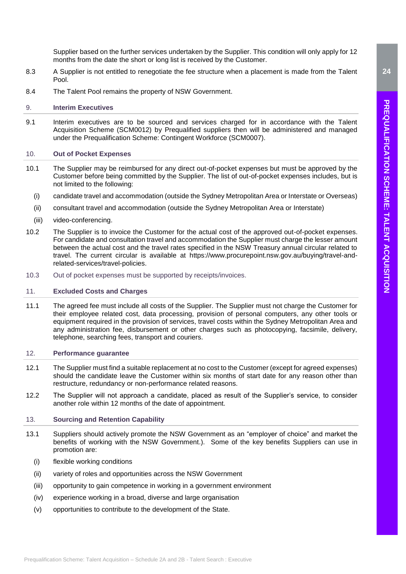- 8.3 A Supplier is not entitled to renegotiate the fee structure when a placement is made from the Talent Pool.
- 8.4 The Talent Pool remains the property of NSW Government.

# <span id="page-23-0"></span>9. **Interim Executives**

9.1 Interim executives are to be sourced and services charged for in accordance with the Talent Acquisition Scheme (SCM0012) by Prequalified suppliers then will be administered and managed under the Prequalification Scheme: Contingent Workforce (SCM0007).

# <span id="page-23-1"></span>10. **Out of Pocket Expenses**

- 10.1 The Supplier may be reimbursed for any direct out-of-pocket expenses but must be approved by the Customer before being committed by the Supplier. The list of out-of-pocket expenses includes, but is not limited to the following:
	- (i) candidate travel and accommodation (outside the Sydney Metropolitan Area or Interstate or Overseas)
	- (ii) consultant travel and accommodation (outside the Sydney Metropolitan Area or Interstate)
	- (iii) video-conferencing.
- 10.2 The Supplier is to invoice the Customer for the actual cost of the approved out-of-pocket expenses. For candidate and consultation travel and accommodation the Supplier must charge the lesser amount between the actual cost and the travel rates specified in the NSW Treasury annual circular related to travel. The current circular is available at [https://www.procurepoint.nsw.gov.au/buying/travel-and](https://www.procurepoint.nsw.gov.au/buying/travel-and-related-services/travel-policies)[related-services/travel-policies.](https://www.procurepoint.nsw.gov.au/buying/travel-and-related-services/travel-policies)
- 10.3 Out of pocket expenses must be supported by receipts/invoices.

# <span id="page-23-2"></span>11. **Excluded Costs and Charges**

11.1 The agreed fee must include all costs of the Supplier. The Supplier must not charge the Customer for their employee related cost, data processing, provision of personal computers, any other tools or equipment required in the provision of services, travel costs within the Sydney Metropolitan Area and any administration fee, disbursement or other charges such as photocopying, facsimile, delivery, telephone, searching fees, transport and couriers.

# <span id="page-23-3"></span>12. **Performance guarantee**

- 12.1 The Supplier must find a suitable replacement at no cost to the Customer (except for agreed expenses) should the candidate leave the Customer within six months of start date for any reason other than restructure, redundancy or non-performance related reasons.
- 12.2 The Supplier will not approach a candidate, placed as result of the Supplier's service, to consider another role within 12 months of the date of appointment.

# <span id="page-23-4"></span>13. **Sourcing and Retention Capability**

- 13.1 Suppliers should actively promote the NSW Government as an "employer of choice" and market the benefits of working with the NSW Government.). Some of the key benefits Suppliers can use in promotion are:
	- (i) flexible working conditions
	- (ii) variety of roles and opportunities across the NSW Government
	- (iii) opportunity to gain competence in working in a government environment
	- (iv) experience working in a broad, diverse and large organisation
	- (v) opportunities to contribute to the development of the State.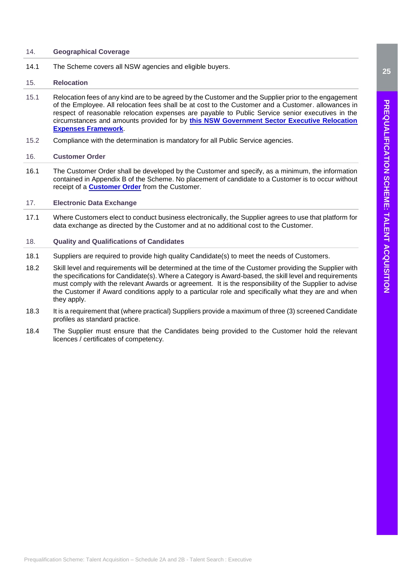# <span id="page-24-0"></span>14. **Geographical Coverage**

14.1 The Scheme covers all NSW agencies and eligible buyers.

# <span id="page-24-1"></span>15. **Relocation**

- 15.1 Relocation fees of any kind are to be agreed by the Customer and the Supplier prior to the engagement of the Employee. All relocation fees shall be at cost to the Customer and a Customer. allowances in respect of reasonable relocation expenses are payable to Public Service senior executives in the circumstances and amounts provided for by **[this NSW Government Sector Executive Relocation](https://www.psc.nsw.gov.au/employmentportal/senior-executives/relocation-expenses-framework/executive-relocation-expenses-framework/introduction/purpose)  [Expenses Framework](https://www.psc.nsw.gov.au/employmentportal/senior-executives/relocation-expenses-framework/executive-relocation-expenses-framework/introduction/purpose)**.
- 15.2 Compliance with the determination is mandatory for all Public Service agencies.

# <span id="page-24-2"></span>16. **Customer Order**

16.1 The Customer Order shall be developed by the Customer and specify, as a minimum, the information contained in Appendix B of the Scheme. No placement of candidate to a Customer is to occur without receipt of a **[Customer Order](https://www.procurepoint.nsw.gov.au/system/files/documents/customer_order_form_1.xlsx)** from the Customer.

# <span id="page-24-3"></span>17. **Electronic Data Exchange**

17.1 Where Customers elect to conduct business electronically, the Supplier agrees to use that platform for data exchange as directed by the Customer and at no additional cost to the Customer.

# <span id="page-24-4"></span>18. **Quality and Qualifications of Candidates**

- 18.1 Suppliers are required to provide high quality Candidate(s) to meet the needs of Customers.
- 18.2 Skill level and requirements will be determined at the time of the Customer providing the Supplier with the specifications for Candidate(s). Where a Category is Award-based, the skill level and requirements must comply with the relevant Awards or agreement. It is the responsibility of the Supplier to advise the Customer if Award conditions apply to a particular role and specifically what they are and when they apply.
- 18.3 It is a requirement that (where practical) Suppliers provide a maximum of three (3) screened Candidate profiles as standard practice.
- 18.4 The Supplier must ensure that the Candidates being provided to the Customer hold the relevant licences / certificates of competency.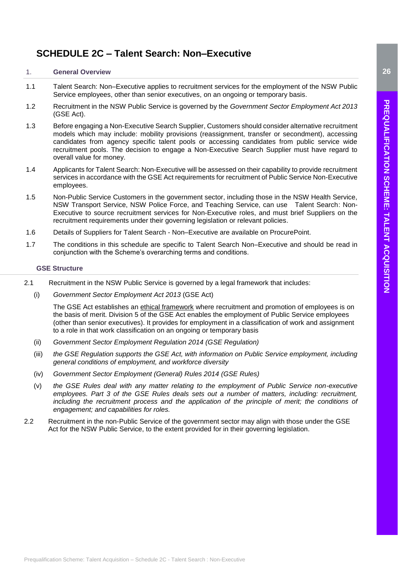# <span id="page-25-0"></span>**SCHEDULE 2C – Talent Search: Non–Executive**

# <span id="page-25-1"></span>1. **General Overview**

- 1.1 Talent Search: Non–Executive applies to recruitment services for the employment of the NSW Public Service employees, other than senior executives, on an ongoing or temporary basis.
- 1.2 Recruitment in the NSW Public Service is governed by the *Government Sector Employment Act 2013* (GSE Act).
- 1.3 Before engaging a Non-Executive Search Supplier, Customers should consider alternative recruitment models which may include: mobility provisions (reassignment, transfer or secondment), accessing candidates from agency specific talent pools or accessing candidates from public service wide recruitment pools. The decision to engage a Non-Executive Search Supplier must have regard to overall value for money.
- 1.4 Applicants for Talent Search: Non-Executive will be assessed on their capability to provide recruitment services in accordance with the GSE Act requirements for recruitment of Public Service Non-Executive employees.
- 1.5 Non-Public Service Customers in the government sector, including those in the NSW Health Service, NSW Transport Service, NSW Police Force, and Teaching Service, can use Talent Search: Non-Executive to source recruitment services for Non-Executive roles, and must brief Suppliers on the recruitment requirements under their governing legislation or relevant policies.
- 1.6 Details of Suppliers for Talent Search Non–Executive are available on ProcurePoint.
- 1.7 The conditions in this schedule are specific to Talent Search Non–Executive and should be read in conjunction with the Scheme's overarching terms and conditions.

# <span id="page-25-2"></span>2. **GSE Structure**

- 2.1 Recruitment in the NSW Public Service is governed by a legal framework that includes:
	- (i) *[Government Sector Employment Act 2013](http://legislation.nsw.gov.au/#/view/act/2013/40)* (GSE Act)

The GSE Act establishes an [ethical framework](https://www.psc.nsw.gov.au/employmentportal/ethics-conduct/behaving-ethically/behaving-ethically-guide/introduction/note-to-reader) where recruitment and promotion of employees is on the basis of merit. Division 5 of the GSE Act enables the employment of Public Service employees (other than senior executives). It provides for employment in a classification of work and assignment to a role in that work classification on an ongoing or temporary basis

- (ii) *[Government Sector Employment Regulation 2014](http://www.legislation.nsw.gov.au/#/view/regulation/2014/60) (GSE Regulation)*
- (iii) *the GSE Regulation supports the GSE Act, with information on Public Service employment, including general conditions of employment, and workforce diversity*
- (iv) *[Government Sector Employment \(General\) Rules 2014](http://www.legislation.nsw.gov.au/#/view/regulation/2014/65) (GSE Rules)*
- (v) *the GSE Rules deal with any matter relating to the employment of Public Service non-executive employees. Part 3 of the GSE Rules deals sets out a number of matters, including: recruitment, including the recruitment process and the application of the principle of merit; the conditions of engagement; and capabilities for roles.*
- 2.2 Recruitment in the non-Public Service of the government sector may align with those under the GSE Act for the NSW Public Service, to the extent provided for in their governing legislation.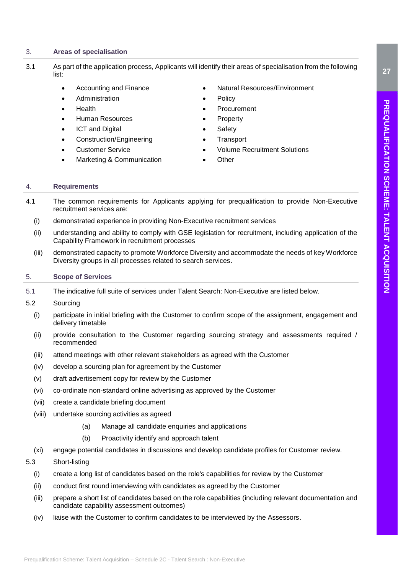# <span id="page-26-0"></span>3. **Areas of specialisation**

- 3.1 As part of the application process, Applicants will identify their areas of specialisation from the following list:
	- Accounting and Finance
	- Administration
	- Health
	- Human Resources
	- **ICT** and Digital
	- Construction/Engineering
	- Customer Service
	- Marketing & Communication
- Natural Resources/Environment
- **Policy**
- **Procurement**
- **Property**
- **Safety**
- **Transport**
- Volume Recruitment Solutions
- Other

# <span id="page-26-1"></span>4. **Requirements**

- 4.1 The common requirements for Applicants applying for prequalification to provide Non-Executive recruitment services are:
	- (i) demonstrated experience in providing Non-Executive recruitment services
	- (ii) understanding and ability to comply with GSE legislation for recruitment, including application of the Capability Framework in recruitment processes
	- (iii) demonstrated capacity to promote Workforce Diversity and accommodate the needs of key Workforce Diversity groups in all processes related to search services.

# <span id="page-26-2"></span>5. **Scope of Services**

5.1 The indicative full suite of services under Talent Search: Non-Executive are listed below.

# 5.2 Sourcing

- (i) participate in initial briefing with the Customer to confirm scope of the assignment, engagement and delivery timetable
- (ii) provide consultation to the Customer regarding sourcing strategy and assessments required / recommended
- (iii) attend meetings with other relevant stakeholders as agreed with the Customer
- (iv) develop a sourcing plan for agreement by the Customer
- (v) draft advertisement copy for review by the Customer
- (vi) co-ordinate non-standard online advertising as approved by the Customer
- (vii) create a candidate briefing document
- (viii) undertake sourcing activities as agreed
	- (a) Manage all candidate enquiries and applications
	- (b) Proactivity identify and approach talent
- (xi) engage potential candidates in discussions and develop candidate profiles for Customer review.

# 5.3 Short-listing

- (i) create a long list of candidates based on the role's capabilities for review by the Customer
- (ii) conduct first round interviewing with candidates as agreed by the Customer
- (iii) prepare a short list of candidates based on the role capabilities (including relevant documentation and candidate capability assessment outcomes)
- (iv) liaise with the Customer to confirm candidates to be interviewed by the Assessors.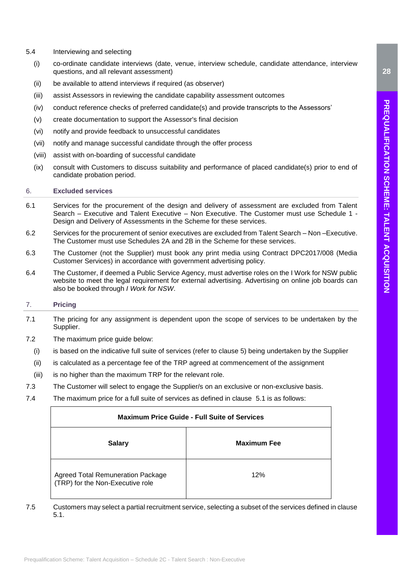- 5.4 Interviewing and selecting
	- (i) co-ordinate candidate interviews (date, venue, interview schedule, candidate attendance, interview questions, and all relevant assessment)
	- (ii) be available to attend interviews if required (as observer)
	- (iii) assist Assessors in reviewing the candidate capability assessment outcomes
	- (iv) conduct reference checks of preferred candidate(s) and provide transcripts to the Assessors'
	- (v) create documentation to support the Assessor's final decision
	- (vi) notify and provide feedback to unsuccessful candidates
	- (vii) notify and manage successful candidate through the offer process
	- (viii) assist with on-boarding of successful candidate
	- (ix) consult with Customers to discuss suitability and performance of placed candidate(s) prior to end of candidate probation period.

# <span id="page-27-0"></span>6. **Excluded services**

- 6.1 Services for the procurement of the design and delivery of assessment are excluded from Talent Search – Executive and Talent Executive – Non Executive. The Customer must use Schedule 1 - Design and Delivery of Assessments in the Scheme for these services.
- 6.2 Services for the procurement of senior executives are excluded from Talent Search Non –Executive. The Customer must use Schedules 2A and 2B in the Scheme for these services.
- 6.3 The Customer (not the Supplier) must book any print media using Contract DPC2017/008 (Media Customer Services) in accordance with [government advertising policy.](https://www.advertising.nsw.gov.au/advertising/advertising-requirements/)
- 6.4 The Customer, if deemed a Public Service Agency, must advertise roles on the I Work for NSW public website to meet the legal requirement for external advertising. Advertising on online job boards can also be booked through *I Work for NSW*.

# <span id="page-27-1"></span>7. **Pricing**

- 7.1 The pricing for any assignment is dependent upon the scope of services to be undertaken by the Supplier.
- 7.2 The maximum price guide below:
	- (i) is based on the indicative full suite of services (refer to clause 5) being undertaken by the Supplier
	- (ii) is calculated as a percentage fee of the TRP agreed at commencement of the assignment
	- (iii) is no higher than the maximum TRP for the relevant role.
- 7.3 The Customer will select to engage the Supplier/s on an exclusive or non-exclusive basis.
- 7.4 The maximum price for a full suite of services as defined in clause [5.1](#page-19-2) is as follows:

|               | <b>Maximum Price Guide - Full Suite of Services</b>                          |                    |  |
|---------------|------------------------------------------------------------------------------|--------------------|--|
| <b>Salary</b> |                                                                              | <b>Maximum Fee</b> |  |
|               | <b>Agreed Total Remuneration Package</b><br>(TRP) for the Non-Executive role | 12%                |  |

7.5 Customers may select a partial recruitment service, selecting a subset of the services defined in clause [5.1.](#page-19-2)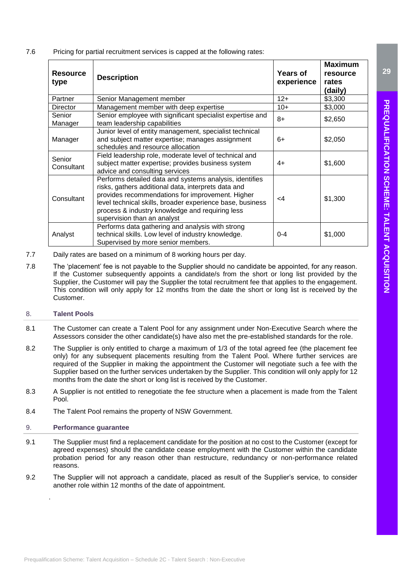7.6 Pricing for partial recruitment services is capped at the following rates:

| <b>Resource</b><br>type | <b>Description</b>                                                                                                                                                                                                                                                                                                | <b>Years of</b><br>experience | <b>Maximum</b><br>resource<br>rates<br>(daily) |
|-------------------------|-------------------------------------------------------------------------------------------------------------------------------------------------------------------------------------------------------------------------------------------------------------------------------------------------------------------|-------------------------------|------------------------------------------------|
| Partner                 | Senior Management member                                                                                                                                                                                                                                                                                          | $12+$                         | \$3,300                                        |
| <b>Director</b>         | Management member with deep expertise                                                                                                                                                                                                                                                                             | $10+$                         | \$3,000                                        |
| Senior<br>Manager       | Senior employee with significant specialist expertise and<br>team leadership capabilities                                                                                                                                                                                                                         | $8+$                          | \$2,650                                        |
| Manager                 | Junior level of entity management, specialist technical<br>and subject matter expertise; manages assignment<br>schedules and resource allocation                                                                                                                                                                  | $6+$                          | \$2,050                                        |
| Senior<br>Consultant    | Field leadership role, moderate level of technical and<br>subject matter expertise; provides business system<br>advice and consulting services                                                                                                                                                                    | $4+$                          | \$1,600                                        |
| Consultant              | Performs detailed data and systems analysis, identifies<br>risks, gathers additional data, interprets data and<br>provides recommendations for improvement. Higher<br>level technical skills, broader experience base, business<br>process & industry knowledge and requiring less<br>supervision than an analyst | $\leq$ 4                      | \$1,300                                        |
| Analyst                 | Performs data gathering and analysis with strong<br>technical skills. Low level of industry knowledge.<br>Supervised by more senior members.                                                                                                                                                                      | $0 - 4$                       | \$1,000                                        |

- 7.7 Daily rates are based on a minimum of 8 working hours per day.
- 7.8 The 'placement' fee is not payable to the Supplier should no candidate be appointed, for any reason. If the Customer subsequently appoints a candidate/s from the short or long list provided by the Supplier, the Customer will pay the Supplier the total recruitment fee that applies to the engagement. This condition will only apply for 12 months from the date the short or long list is received by the Customer.

# <span id="page-28-0"></span>8. **Talent Pools**

- 8.1 The Customer can create a Talent Pool for any assignment under Non-Executive Search where the Assessors consider the other candidate(s) have also met the pre-established standards for the role.
- 8.2 The Supplier is only entitled to charge a maximum of 1/3 of the total agreed fee (the placement fee only) for any subsequent placements resulting from the Talent Pool. Where further services are required of the Supplier in making the appointment the Customer will negotiate such a fee with the Supplier based on the further services undertaken by the Supplier. This condition will only apply for 12 months from the date the short or long list is received by the Customer.
- 8.3 A Supplier is not entitled to renegotiate the fee structure when a placement is made from the Talent Pool.
- 8.4 The Talent Pool remains the property of NSW Government.

# <span id="page-28-1"></span>9. **Performance guarantee**

.

- 9.1 The Supplier must find a replacement candidate for the position at no cost to the Customer (except for agreed expenses) should the candidate cease employment with the Customer within the candidate probation period for any reason other than restructure, redundancy or non-performance related reasons.
- 9.2 The Supplier will not approach a candidate, placed as result of the Supplier's service, to consider another role within 12 months of the date of appointment.

**29**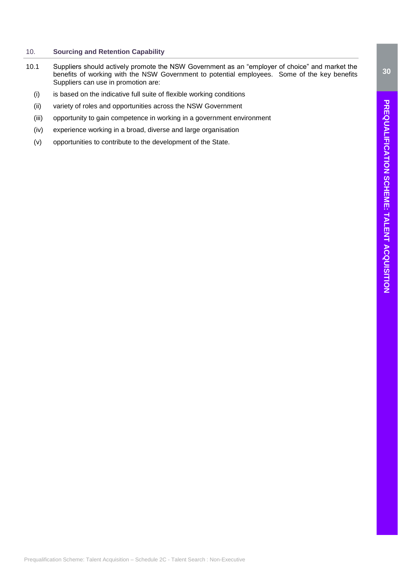# <span id="page-29-0"></span>10. **Sourcing and Retention Capability**

- 10.1 Suppliers should actively promote the NSW Government as an "employer of choice" and market the benefits of working with the NSW Government to potential employees. Some of the key benefits Suppliers can use in promotion are:
	- (i) is based on the indicative full suite of flexible working conditions
	- (ii) variety of roles and opportunities across the NSW Government
	- (iii) opportunity to gain competence in working in a government environment
	- (iv) experience working in a broad, diverse and large organisation
	- (v) opportunities to contribute to the development of the State.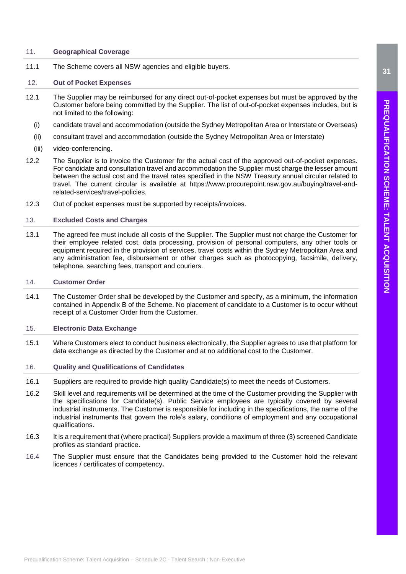# <span id="page-30-0"></span>11. **Geographical Coverage**

11.1 The Scheme covers all NSW agencies and eligible buyers.

# <span id="page-30-1"></span>12. **Out of Pocket Expenses**

- 12.1 The Supplier may be reimbursed for any direct out-of-pocket expenses but must be approved by the Customer before being committed by the Supplier. The list of out-of-pocket expenses includes, but is not limited to the following:
	- (i) candidate travel and accommodation (outside the Sydney Metropolitan Area or Interstate or Overseas)
	- (ii) consultant travel and accommodation (outside the Sydney Metropolitan Area or Interstate)
	- (iii) video-conferencing.
- 12.2 The Supplier is to invoice the Customer for the actual cost of the approved out-of-pocket expenses. For candidate and consultation travel and accommodation the Supplier must charge the lesser amount between the actual cost and the travel rates specified in the NSW Treasury annual circular related to travel. The current circular is available at [https://www.procurepoint.nsw.gov.au/buying/travel-and](https://www.procurepoint.nsw.gov.au/buying/travel-and-related-services/travel-policies)[related-services/travel-policies.](https://www.procurepoint.nsw.gov.au/buying/travel-and-related-services/travel-policies)
- 12.3 Out of pocket expenses must be supported by receipts/invoices.

# <span id="page-30-2"></span>13. **Excluded Costs and Charges**

13.1 The agreed fee must include all costs of the Supplier. The Supplier must not charge the Customer for their employee related cost, data processing, provision of personal computers, any other tools or equipment required in the provision of services, travel costs within the Sydney Metropolitan Area and any administration fee, disbursement or other charges such as photocopying, facsimile, delivery, telephone, searching fees, transport and couriers.

# <span id="page-30-3"></span>14. **Customer Order**

14.1 The Customer Order shall be developed by the Customer and specify, as a minimum, the information contained in Appendix B of the Scheme. No placement of candidate to a Customer is to occur without receipt of a Customer Order from the Customer.

# <span id="page-30-4"></span>15. **Electronic Data Exchange**

15.1 Where Customers elect to conduct business electronically, the Supplier agrees to use that platform for data exchange as directed by the Customer and at no additional cost to the Customer.

# <span id="page-30-5"></span>16. **Quality and Qualifications of Candidates**

- 16.1 Suppliers are required to provide high quality Candidate(s) to meet the needs of Customers.
- 16.2 Skill level and requirements will be determined at the time of the Customer providing the Supplier with the specifications for Candidate(s). Public Service employees are typically covered by several industrial instruments. The Customer is responsible for including in the specifications, the name of the industrial instruments that govern the role's salary, conditions of employment and any occupational qualifications.
- 16.3 It is a requirement that (where practical) Suppliers provide a maximum of three (3) screened Candidate profiles as standard practice.
- 16.4 The Supplier must ensure that the Candidates being provided to the Customer hold the relevant licences / certificates of competency**.**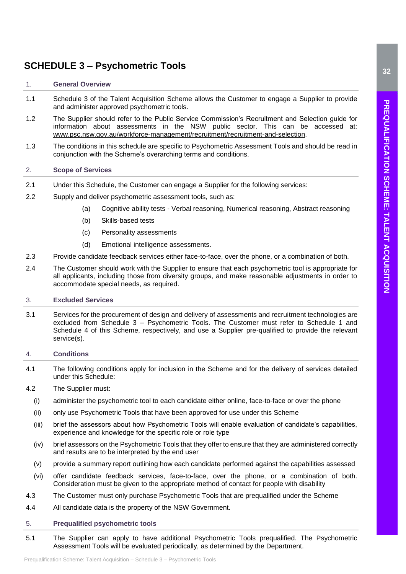# <span id="page-31-0"></span>**SCHEDULE 3 – Psychometric Tools**

# <span id="page-31-1"></span>1. **General Overview**

- 1.1 Schedule 3 of the Talent Acquisition Scheme allows the Customer to engage a Supplier to provide and administer approved psychometric tools.
- 1.2 The Supplier should refer to the Public Service Commission's Recruitment and Selection guide for information about assessments in the NSW public sector. This can be accessed at: [www.psc.nsw.gov.au/workforce-management/recruitment/recruitment-and-selection.](http://www.psc.nsw.gov.au/workforce-management/recruitment/recruitment-and-selection)
- 1.3 The conditions in this schedule are specific to Psychometric Assessment Tools and should be read in conjunction with the Scheme's overarching terms and conditions.

# <span id="page-31-2"></span>2. **Scope of Services**

- 2.1 Under this Schedule, the Customer can engage a Supplier for the following services:
- 2.2 Supply and deliver psychometric assessment tools, such as:
	- (a) Cognitive ability tests Verbal reasoning, Numerical reasoning, Abstract reasoning
	- (b) Skills-based tests
	- (c) Personality assessments
	- (d) Emotional intelligence assessments.
- 2.3 Provide candidate feedback services either face-to-face, over the phone, or a combination of both.
- 2.4 The Customer should work with the Supplier to ensure that each psychometric tool is appropriate for all applicants, including those from diversity groups, and make reasonable adjustments in order to accommodate special needs, as required.

### <span id="page-31-3"></span>3. **Excluded Services**

3.1 Services for the procurement of design and delivery of assessments and recruitment technologies are excluded from Schedule 3 – Psychometric Tools. The Customer must refer to Schedule 1 and Schedule 4 of this Scheme, respectively, and use a Supplier pre-qualified to provide the relevant service(s).

# <span id="page-31-4"></span>4. **Conditions**

4.1 The following conditions apply for inclusion in the Scheme and for the delivery of services detailed under this Schedule:

# 4.2 The Supplier must:

- (i) administer the psychometric tool to each candidate either online, face-to-face or over the phone
- (ii) only use Psychometric Tools that have been approved for use under this Scheme
- (iii) brief the assessors about how Psychometric Tools will enable evaluation of candidate's capabilities, experience and knowledge for the specific role or role type
- (iv) brief assessors on the Psychometric Tools that they offer to ensure that they are administered correctly and results are to be interpreted by the end user
- (v) provide a summary report outlining how each candidate performed against the capabilities assessed
- (vi) offer candidate feedback services, face-to-face, over the phone, or a combination of both. Consideration must be given to the appropriate method of contact for people with disability
- 4.3 The Customer must only purchase Psychometric Tools that are prequalified under the Scheme
- 4.4 All candidate data is the property of the NSW Government.

### <span id="page-31-5"></span>5. **Prequalified psychometric tools**

5.1 The Supplier can apply to have additional Psychometric Tools prequalified. The Psychometric Assessment Tools will be evaluated periodically, as determined by the Department.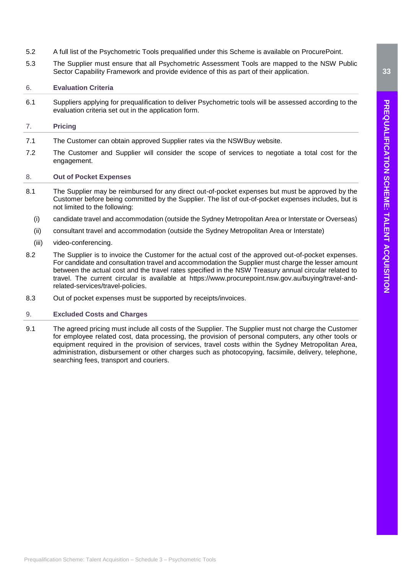- 5.2 A full list of the Psychometric Tools prequalified under this Scheme is available on ProcurePoint.
- 5.3 The Supplier must ensure that all Psychometric Assessment Tools are mapped to the NSW Public Sector Capability Framework and provide evidence of this as part of their application.

# <span id="page-32-0"></span>6. **Evaluation Criteria**

6.1 Suppliers applying for prequalification to deliver Psychometric tools will be assessed according to the evaluation criteria set out in the application form.

# <span id="page-32-1"></span>7. **Pricing**

- 7.1 The Customer can obtain approved Supplier rates via the NSWBuy website.
- 7.2 The Customer and Supplier will consider the scope of services to negotiate a total cost for the engagement.

# <span id="page-32-2"></span>8. **Out of Pocket Expenses**

- 8.1 The Supplier may be reimbursed for any direct out-of-pocket expenses but must be approved by the Customer before being committed by the Supplier. The list of out-of-pocket expenses includes, but is not limited to the following:
	- (i) candidate travel and accommodation (outside the Sydney Metropolitan Area or Interstate or Overseas)
	- (ii) consultant travel and accommodation (outside the Sydney Metropolitan Area or Interstate)
	- (iii) video-conferencing.
- 8.2 The Supplier is to invoice the Customer for the actual cost of the approved out-of-pocket expenses. For candidate and consultation travel and accommodation the Supplier must charge the lesser amount between the actual cost and the travel rates specified in the NSW Treasury annual circular related to travel. The current circular is available at [https://www.procurepoint.nsw.gov.au/buying/travel-and](https://www.procurepoint.nsw.gov.au/buying/travel-and-related-services/travel-policies)[related-services/travel-policies.](https://www.procurepoint.nsw.gov.au/buying/travel-and-related-services/travel-policies)
- 8.3 Out of pocket expenses must be supported by receipts/invoices.

# <span id="page-32-3"></span>9. **Excluded Costs and Charges**

9.1 The agreed pricing must include all costs of the Supplier. The Supplier must not charge the Customer for employee related cost, data processing, the provision of personal computers, any other tools or equipment required in the provision of services, travel costs within the Sydney Metropolitan Area, administration, disbursement or other charges such as photocopying, facsimile, delivery, telephone, searching fees, transport and couriers.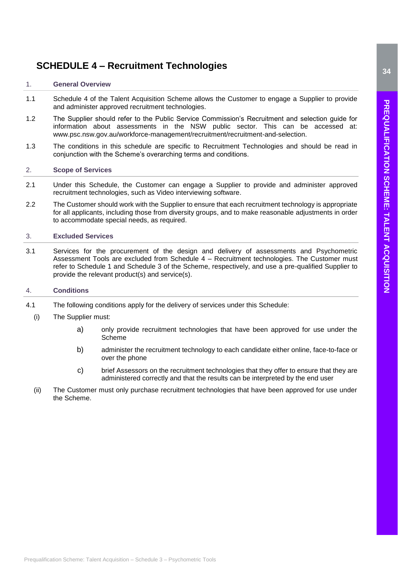# <span id="page-33-0"></span>**SCHEDULE 4 – Recruitment Technologies**

# <span id="page-33-1"></span>1. **General Overview**

- 1.1 Schedule 4 of the Talent Acquisition Scheme allows the Customer to engage a Supplier to provide and administer approved recruitment technologies.
- 1.2 The Supplier should refer to the Public Service Commission's Recruitment and selection guide for information about assessments in the NSW public sector. This can be accessed at: [www.psc.nsw.gov.au/workforce-management/recruitment/recruitment-and-selection.](http://www.psc.nsw.gov.au/workforce-management/recruitment/recruitment-and-selection)
- 1.3 The conditions in this schedule are specific to Recruitment Technologies and should be read in conjunction with the Scheme's overarching terms and conditions.

# <span id="page-33-2"></span>2. **Scope of Services**

- 2.1 Under this Schedule, the Customer can engage a Supplier to provide and administer approved recruitment technologies, such as Video interviewing software.
- 2.2 The Customer should work with the Supplier to ensure that each recruitment technology is appropriate for all applicants, including those from diversity groups, and to make reasonable adjustments in order to accommodate special needs, as required.

# <span id="page-33-3"></span>3. **Excluded Services**

3.1 Services for the procurement of the design and delivery of assessments and Psychometric Assessment Tools are excluded from Schedule 4 – Recruitment technologies. The Customer must refer to Schedule 1 and Schedule 3 of the Scheme, respectively, and use a pre-qualified Supplier to provide the relevant product(s) and service(s).

# <span id="page-33-4"></span>4. **Conditions**

- 4.1 The following conditions apply for the delivery of services under this Schedule:
	- (i) The Supplier must:
		- a) only provide recruitment technologies that have been approved for use under the Scheme
		- b) administer the recruitment technology to each candidate either online, face-to-face or over the phone
		- c) brief Assessors on the recruitment technologies that they offer to ensure that they are administered correctly and that the results can be interpreted by the end user
	- (ii) The Customer must only purchase recruitment technologies that have been approved for use under the Scheme.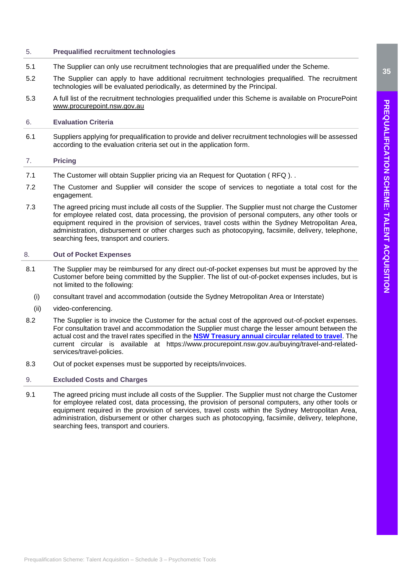# <span id="page-34-0"></span>5. **Prequalified recruitment technologies**

- 5.1 The Supplier can only use recruitment technologies that are prequalified under the Scheme.
- 5.2 The Supplier can apply to have additional recruitment technologies prequalified. The recruitment technologies will be evaluated periodically, as determined by the Principal.
- 5.3 A full list of the recruitment technologies prequalified under this Scheme is available on ProcurePoint [www.procurepoint.nsw.gov.au](http://www.procurepoint.nsw.gov.au/)

# <span id="page-34-1"></span>6. **Evaluation Criteria**

6.1 Suppliers applying for prequalification to provide and deliver recruitment technologies will be assessed according to the evaluation criteria set out in the application form.

# <span id="page-34-2"></span>7. **Pricing**

- 7.1 The Customer will obtain Supplier pricing via an Request for Quotation ( RFQ ). .
- 7.2 The Customer and Supplier will consider the scope of services to negotiate a total cost for the engagement.
- 7.3 The agreed pricing must include all costs of the Supplier. The Supplier must not charge the Customer for employee related cost, data processing, the provision of personal computers, any other tools or equipment required in the provision of services, travel costs within the Sydney Metropolitan Area, administration, disbursement or other charges such as photocopying, facsimile, delivery, telephone, searching fees, transport and couriers.

# <span id="page-34-3"></span>8. **Out of Pocket Expenses**

- 8.1 The Supplier may be reimbursed for any direct out-of-pocket expenses but must be approved by the Customer before being committed by the Supplier. The list of out-of-pocket expenses includes, but is not limited to the following:
	- (i) consultant travel and accommodation (outside the Sydney Metropolitan Area or Interstate)
	- (ii) video-conferencing.
- 8.2 The Supplier is to invoice the Customer for the actual cost of the approved out-of-pocket expenses. For consultation travel and accommodation the Supplier must charge the lesser amount between the actual cost and the travel rates specified in the **[NSW Treasury annual circular related to travel](https://www.treasury.nsw.gov.au/sites/default/files/2018-08/TC18-15%20Industrial%20Relations%20-%20Meal%2C%20Travelling%20and%20other%20Allowances%20for%202018-19%20-pdf.pdf)**. The current circular is available at [https://www.procurepoint.nsw.gov.au/buying/travel-and-related](https://www.procurepoint.nsw.gov.au/buying/travel-and-related-services/travel-policies)[services/travel-policies.](https://www.procurepoint.nsw.gov.au/buying/travel-and-related-services/travel-policies)
- 8.3 Out of pocket expenses must be supported by receipts/invoices.

# <span id="page-34-4"></span>9. **Excluded Costs and Charges**

9.1 The agreed pricing must include all costs of the Supplier. The Supplier must not charge the Customer for employee related cost, data processing, the provision of personal computers, any other tools or equipment required in the provision of services, travel costs within the Sydney Metropolitan Area, administration, disbursement or other charges such as photocopying, facsimile, delivery, telephone, searching fees, transport and couriers.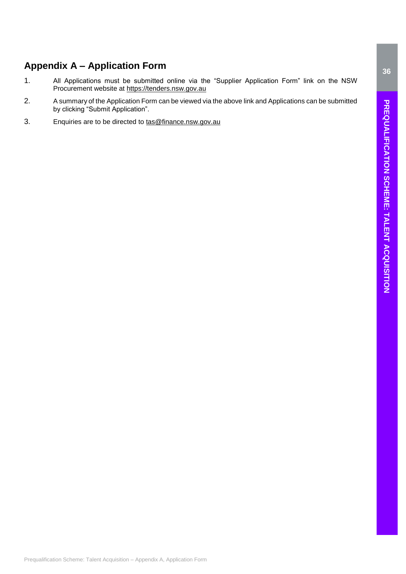# PREQUALIFICATION SCHEME: TALENT ACQUISITION **PREQUALIFICATION SCHEME: TALENT ACQUISITION**

# <span id="page-35-0"></span>**Appendix A – Application Form**

- 1. All Applications must be submitted online via the "Supplier Application Form" link on the NSW Procurement website at [https://tenders.nsw.gov.au](https://tenders.nsw.gov.au/)
- 2. A summary of the Application Form can be viewed via the above link and Applications can be submitted by clicking "Submit Application".
- 3. Enquiries are to be directed to [tas@finance.nsw.gov.au](mailto:tas@finance.nsw.gov.au)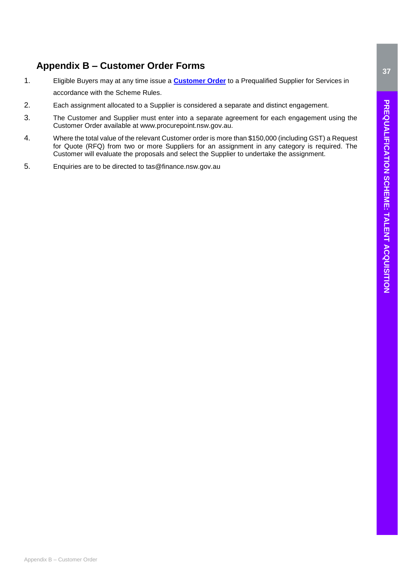# <span id="page-36-0"></span>**Appendix B – Customer Order Forms**

- 1. Eligible Buyers may at any time issue a **[Customer Order](https://procurepoint.nsw.gov.au/documents/talent-acquisition-scheme-order-form.xlsx)** to a Prequalified Supplier for Services in accordance with the Scheme Rules.
- 2. Each assignment allocated to a Supplier is considered a separate and distinct engagement.
- 3. The Customer and Supplier must enter into a separate agreement for each engagement using the Customer Order available at www.procurepoint.nsw.gov.au.
- 4. Where the total value of the relevant Customer order is more than \$150,000 (including GST) a Request for Quote (RFQ) from two or more Suppliers for an assignment in any category is required. The Customer will evaluate the proposals and select the Supplier to undertake the assignment.
- 5. Enquiries are to be directed to [tas@finance.nsw.gov.au](mailto:tas@finance.nsw.gov.au)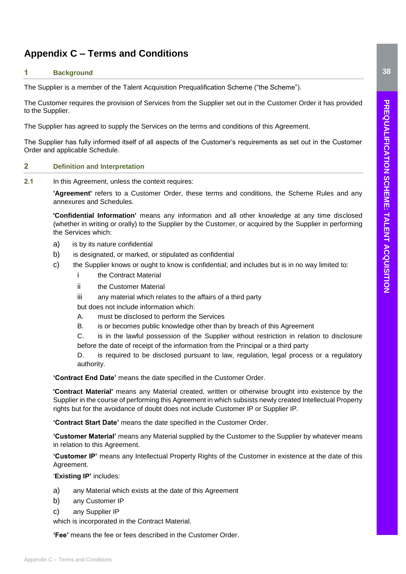# <span id="page-37-0"></span>**Appendix C – Terms and Conditions**

# <span id="page-37-1"></span>**1 Background**

The Supplier is a member of the Talent Acquisition Prequalification Scheme ("the Scheme").

The Customer requires the provision of Services from the Supplier set out in the Customer Order it has provided to the Supplier.

The Supplier has agreed to supply the Services on the terms and conditions of this Agreement.

The Supplier has fully informed itself of all aspects of the Customer's requirements as set out in the Customer Order and applicable Schedule.

# <span id="page-37-2"></span>**2 Definition and Interpretation**

**2.1** In this Agreement, unless the context requires:

**'Agreement'** refers to a Customer Order, these terms and conditions, the Scheme Rules and any annexures and Schedules.

**'Confidential Information'** means any information and all other knowledge at any time disclosed (whether in writing or orally) to the Supplier by the Customer, or acquired by the Supplier in performing the Services which:

- a) is by its nature confidential
- b) is designated, or marked, or stipulated as confidential
- c) the Supplier knows or ought to know is confidential; and includes but is in no way limited to:
	- i the Contract Material
	- ii the Customer Material
	- iii any material which relates to the affairs of a third party
	- but does not include information which:
	- A. must be disclosed to perform the Services
	- B. is or becomes public knowledge other than by breach of this Agreement
	- C. is in the lawful possession of the Supplier without restriction in relation to disclosure before the date of receipt of the information from the Principal or a third party
	- D. is required to be disclosed pursuant to law, regulation, legal process or a regulatory authority.

**'Contract End Date'** means the date specified in the Customer Order.

**'Contract Material'** means any Material created, written or otherwise brought into existence by the Supplier in the course of performing this Agreement in which subsists newly created Intellectual Property rights but for the avoidance of doubt does not include Customer IP or Supplier IP.

**'Contract Start Date'** means the date specified in the Customer Order.

**'Customer Material'** means any Material supplied by the Customer to the Supplier by whatever means in relation to this Agreement.

**'Customer IP'** means any Intellectual Property Rights of the Customer in existence at the date of this Agreement.

'**Existing IP'** includes:

- a) any Material which exists at the date of this Agreement
- b) any Customer IP
- c) any Supplier IP

which is incorporated in the Contract Material.

**'Fee'** means the fee or fees described in the Customer Order.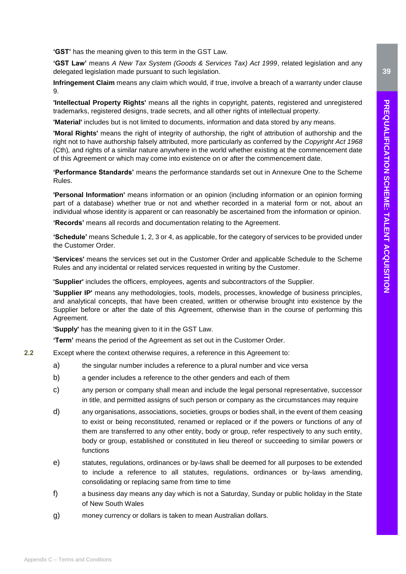**'GST'** has the meaning given to this term in the GST Law.

**'GST Law'** means *A New Tax System (Goods & Services Tax) Act 1999*, related legislation and any delegated legislation made pursuant to such legislation.

**Infringement Claim** means any claim which would, if true, involve a breach of a warranty under clause 9.

**'Intellectual Property Rights'** means all the rights in copyright, patents, registered and unregistered trademarks, registered designs, trade secrets, and all other rights of intellectual property.

**'Material'** includes but is not limited to documents, information and data stored by any means.

**'Moral Rights'** means the right of integrity of authorship, the right of attribution of authorship and the right not to have authorship falsely attributed, more particularly as conferred by the *Copyright Act 1968*  (Cth)*,* and rights of a similar nature anywhere in the world whether existing at the commencement date of this Agreement or which may come into existence on or after the commencement date.

**'Performance Standards'** means the performance standards set out in Annexure One to the Scheme Rules.

**'Personal Information'** means information or an opinion (including information or an opinion forming part of a database) whether true or not and whether recorded in a material form or not, about an individual whose identity is apparent or can reasonably be ascertained from the information or opinion.

**'Records'** means all records and documentation relating to the Agreement.

**'Schedule'** means Schedule 1, 2, 3 or 4, as applicable, for the category of services to be provided under the Customer Order.

**'Services'** means the services set out in the Customer Order and applicable Schedule to the Scheme Rules and any incidental or related services requested in writing by the Customer.

**'Supplier'** includes the officers, employees, agents and subcontractors of the Supplier.

**'Supplier IP'** means any methodologies, tools, models, processes, knowledge of business principles, and analytical concepts, that have been created, written or otherwise brought into existence by the Supplier before or after the date of this Agreement, otherwise than in the course of performing this Agreement.

**'Supply'** has the meaning given to it in the GST Law.

**'Term'** means the period of the Agreement as set out in the Customer Order.

- **2.2** Except where the context otherwise requires, a reference in this Agreement to:
	- a) the singular number includes a reference to a plural number and vice versa
	- b) a gender includes a reference to the other genders and each of them
	- c) any person or company shall mean and include the legal personal representative, successor in title, and permitted assigns of such person or company as the circumstances may require
	- d) any organisations, associations, societies, groups or bodies shall, in the event of them ceasing to exist or being reconstituted, renamed or replaced or if the powers or functions of any of them are transferred to any other entity, body or group, refer respectively to any such entity, body or group, established or constituted in lieu thereof or succeeding to similar powers or functions
	- e) statutes, regulations, ordinances or by-laws shall be deemed for all purposes to be extended to include a reference to all statutes, regulations, ordinances or by-laws amending, consolidating or replacing same from time to time
	- f) a business day means any day which is not a Saturday, Sunday or public holiday in the State of New South Wales
	- g) money currency or dollars is taken to mean Australian dollars.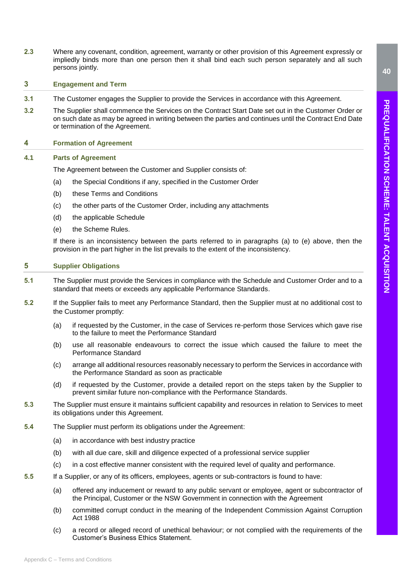**2.3** Where any covenant, condition, agreement, warranty or other provision of this Agreement expressly or impliedly binds more than one person then it shall bind each such person separately and all such persons jointly.

# <span id="page-39-0"></span>**3 Engagement and Term**

- **3.1** The Customer engages the Supplier to provide the Services in accordance with this Agreement.
- **3.2** The Supplier shall commence the Services on the Contract Start Date set out in the Customer Order or on such date as may be agreed in writing between the parties and continues until the Contract End Date or termination of the Agreement.

# <span id="page-39-1"></span>**4 Formation of Agreement**

# **4.1 Parts of Agreement**

The Agreement between the Customer and Supplier consists of:

- (a) the Special Conditions if any, specified in the Customer Order
- (b) these Terms and Conditions
- (c) the other parts of the Customer Order, including any attachments
- (d) the applicable Schedule
- (e) the Scheme Rules.

If there is an inconsistency between the parts referred to in paragraphs (a) to (e) above, then the provision in the part higher in the list prevails to the extent of the inconsistency.

# <span id="page-39-2"></span>**5 Supplier Obligations**

- **5.1** The Supplier must provide the Services in compliance with the Schedule and Customer Order and to a standard that meets or exceeds any applicable Performance Standards.
- **5.2** If the Supplier fails to meet any Performance Standard, then the Supplier must at no additional cost to the Customer promptly:
	- (a) if requested by the Customer, in the case of Services re-perform those Services which gave rise to the failure to meet the Performance Standard
	- (b) use all reasonable endeavours to correct the issue which caused the failure to meet the Performance Standard
	- (c) arrange all additional resources reasonably necessary to perform the Services in accordance with the Performance Standard as soon as practicable
	- (d) if requested by the Customer, provide a detailed report on the steps taken by the Supplier to prevent similar future non-compliance with the Performance Standards.
- **5.3** The Supplier must ensure it maintains sufficient capability and resources in relation to Services to meet its obligations under this Agreement.
- **5.4** The Supplier must perform its obligations under the Agreement:
	- (a) in accordance with best industry practice
	- (b) with all due care, skill and diligence expected of a professional service supplier
	- (c) in a cost effective manner consistent with the required level of quality and performance.
- **5.5** If a Supplier, or any of its officers, employees, agents or sub-contractors is found to have:
	- (a) offered any inducement or reward to any public servant or employee, agent or subcontractor of the Principal, Customer or the NSW Government in connection with the Agreement
	- (b) committed corrupt conduct in the meaning of the Independent Commission Against Corruption Act 1988
	- (c) a record or alleged record of unethical behaviour; or not complied with the requirements of the Customer's Business Ethics Statement.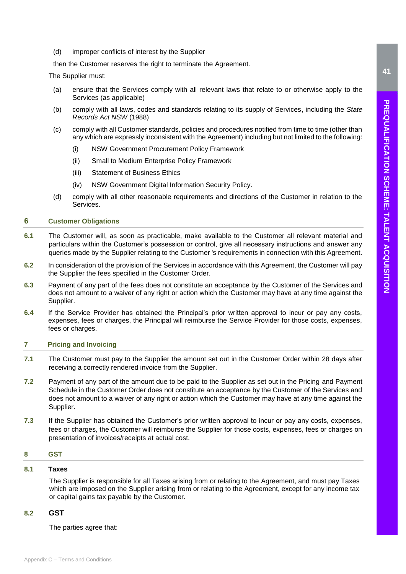(d) improper conflicts of interest by the Supplier

then the Customer reserves the right to terminate the Agreement.

The Supplier must:

- (a) ensure that the Services comply with all relevant laws that relate to or otherwise apply to the Services (as applicable)
- (b) comply with all laws, codes and standards relating to its supply of Services, including the *State Records Act NSW* (1988)
- (c) comply with all Customer standards, policies and procedures notified from time to time (other than any which are expressly inconsistent with the Agreement) including but not limited to the following:
	- (i) NSW Government Procurement Policy Framework
	- (ii) Small to Medium Enterprise Policy Framework
	- (iii) Statement of Business Ethics
	- (iv) NSW Government Digital Information Security Policy.
- (d) comply with all other reasonable requirements and directions of the Customer in relation to the Services.

# <span id="page-40-0"></span>**6 Customer Obligations**

- **6.1** The Customer will, as soon as practicable, make available to the Customer all relevant material and particulars within the Customer's possession or control, give all necessary instructions and answer any queries made by the Supplier relating to the Customer 's requirements in connection with this Agreement.
- **6.2** In consideration of the provision of the Services in accordance with this Agreement, the Customer will pay the Supplier the fees specified in the Customer Order.
- **6.3** Payment of any part of the fees does not constitute an acceptance by the Customer of the Services and does not amount to a waiver of any right or action which the Customer may have at any time against the Supplier.
- **6.4** If the Service Provider has obtained the Principal's prior written approval to incur or pay any costs, expenses, fees or charges, the Principal will reimburse the Service Provider for those costs, expenses, fees or charges.

# <span id="page-40-1"></span>**7 Pricing and Invoicing**

- **7.1** The Customer must pay to the Supplier the amount set out in the Customer Order within 28 days after receiving a correctly rendered invoice from the Supplier.
- **7.2** Payment of any part of the amount due to be paid to the Supplier as set out in the Pricing and Payment Schedule in the Customer Order does not constitute an acceptance by the Customer of the Services and does not amount to a waiver of any right or action which the Customer may have at any time against the Supplier.
- **7.3** If the Supplier has obtained the Customer's prior written approval to incur or pay any costs, expenses, fees or charges, the Customer will reimburse the Supplier for those costs, expenses, fees or charges on presentation of invoices/receipts at actual cost.

# <span id="page-40-2"></span>**8 GST**

# **8.1 Taxes**

The Supplier is responsible for all Taxes arising from or relating to the Agreement, and must pay Taxes which are imposed on the Supplier arising from or relating to the Agreement, except for any income tax or capital gains tax payable by the Customer.

# **8.2 GST**

The parties agree that: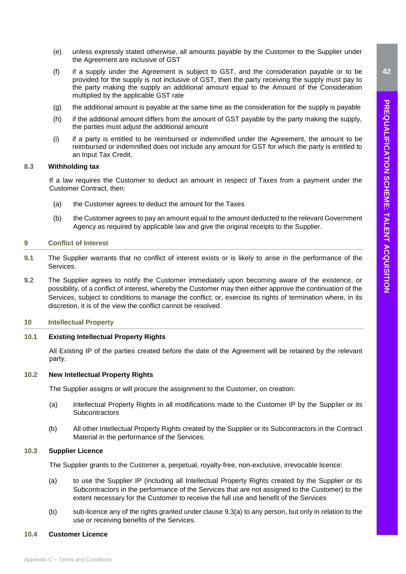- (e) unless expressly stated otherwise, all amounts payable by the Customer to the Supplier under the Agreement are inclusive of GST
- (f) if a supply under the Agreement is subject to GST, and the consideration payable or to be provided for the supply is not inclusive of GST, then the party receiving the supply must pay to the party making the supply an additional amount equal to the Amount of the Consideration multiplied by the applicable GST rate
- (g) the additional amount is payable at the same time as the consideration for the supply is payable
- (h) if the additional amount differs from the amount of GST payable by the party making the supply, the parties must adjust the additional amount
- (i) if a party is entitled to be reimbursed or indemnified under the Agreement, the amount to be reimbursed or indemnified does not include any amount for GST for which the party is entitled to an Input Tax Credit.

### **8.3 Withholding tax**

If a law requires the Customer to deduct an amount in respect of Taxes from a payment under the Customer Contract, then:

- (a) the Customer agrees to deduct the amount for the Taxes
- (b) the Customer agrees to pay an amount equal to the amount deducted to the relevant Government Agency as required by applicable law and give the original receipts to the Supplier.

# <span id="page-41-0"></span>**9 Conflict of Interest**

- **9.1** The Supplier warrants that no conflict of interest exists or is likely to arise in the performance of the **Services**
- **9.2** The Supplier agrees to notify the Customer immediately upon becoming aware of the existence, or possibility, of a conflict of interest, whereby the Customer may then either approve the continuation of the Services, subject to conditions to manage the conflict; or, exercise its rights of termination where, in its discretion, it is of the view the conflict cannot be resolved.

# <span id="page-41-1"></span>**10 Intellectual Property**

# **10.1 Existing Intellectual Property Rights**

All Existing IP of the parties created before the date of the Agreement will be retained by the relevant party.

### **10.2 New Intellectual Property Rights**

The Supplier assigns or will procure the assignment to the Customer, on creation:

- (a) Intellectual Property Rights in all modifications made to the Customer IP by the Supplier or its **Subcontractors**
- (b) All other Intellectual Property Rights created by the Supplier or its Subcontractors in the Contract Material in the performance of the Services.

# **10.3 Supplier Licence**

The Supplier grants to the Customer a, perpetual, royalty-free, non-exclusive, irrevocable licence:

- (a) to use the Supplier IP (including all Intellectual Property Rights created by the Supplier or its Subcontractors in the performance of the Services that are not assigned to the Customer) to the extent necessary for the Customer to receive the full use and benefit of the Services
- (b) sub-licence any of the rights granted under clause 9.3(a) to any person, but only in relation to the use or receiving benefits of the Services.

# **10.4 Customer Licence**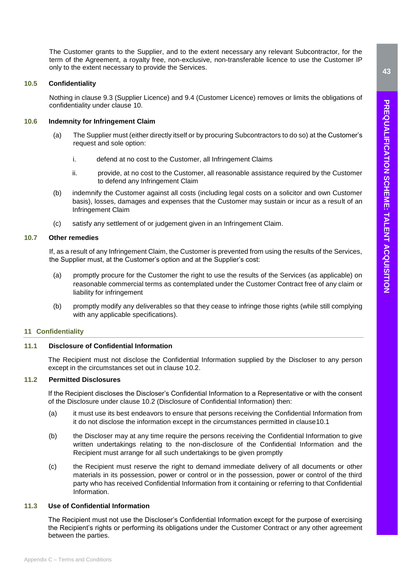The Customer grants to the Supplier, and to the extent necessary any relevant Subcontractor, for the term of the Agreement, a royalty free, non-exclusive, non-transferable licence to use the Customer IP only to the extent necessary to provide the Services.

# **10.5 Confidentiality**

Nothing in clause 9.3 (Supplier Licence) and 9.4 (Customer Licence) removes or limits the obligations of confidentiality under clause 10.

# **10.6 Indemnity for Infringement Claim**

- (a) The Supplier must (either directly itself or by procuring Subcontractors to do so) at the Customer's request and sole option:
	- i. defend at no cost to the Customer, all Infringement Claims
	- ii. provide, at no cost to the Customer, all reasonable assistance required by the Customer to defend any Infringement Claim
- (b) indemnify the Customer against all costs (including legal costs on a solicitor and own Customer basis), losses, damages and expenses that the Customer may sustain or incur as a result of an Infringement Claim
- (c) satisfy any settlement of or judgement given in an Infringement Claim.

# **10.7 Other remedies**

If, as a result of any Infringement Claim, the Customer is prevented from using the results of the Services, the Supplier must, at the Customer's option and at the Supplier's cost:

- (a) promptly procure for the Customer the right to use the results of the Services (as applicable) on reasonable commercial terms as contemplated under the Customer Contract free of any claim or liability for infringement
- (b) promptly modify any deliverables so that they cease to infringe those rights (while still complying with any applicable specifications).

# <span id="page-42-0"></span>**11 Confidentiality**

# **11.1 Disclosure of Confidential Information**

The Recipient must not disclose the Confidential Information supplied by the Discloser to any person except in the circumstances set out in clause 10.2.

# **11.2 Permitted Disclosures**

If the Recipient discloses the Discloser's Confidential Information to a Representative or with the consent of the Disclosure under clause 10.2 (Disclosure of Confidential Information) then:

- (a) it must use its best endeavors to ensure that persons receiving the Confidential Information from it do not disclose the information except in the circumstances permitted in clause10.1
- (b) the Discloser may at any time require the persons receiving the Confidential Information to give written undertakings relating to the non-disclosure of the Confidential Information and the Recipient must arrange for all such undertakings to be given promptly
- (c) the Recipient must reserve the right to demand immediate delivery of all documents or other materials in its possession, power or control or in the possession, power or control of the third party who has received Confidential Information from it containing or referring to that Confidential Information.

# **11.3 Use of Confidential Information**

The Recipient must not use the Discloser's Confidential Information except for the purpose of exercising the Recipient's rights or performing its obligations under the Customer Contract or any other agreement between the parties.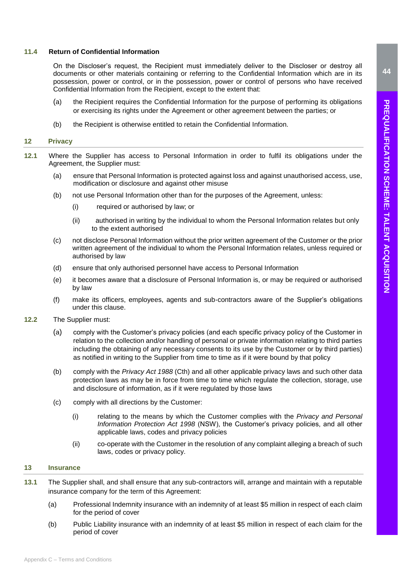# **11.4 Return of Confidential Information**

On the Discloser's request, the Recipient must immediately deliver to the Discloser or destroy all documents or other materials containing or referring to the Confidential Information which are in its possession, power or control, or in the possession, power or control of persons who have received Confidential Information from the Recipient, except to the extent that:

- (a) the Recipient requires the Confidential Information for the purpose of performing its obligations or exercising its rights under the Agreement or other agreement between the parties; or
- (b) the Recipient is otherwise entitled to retain the Confidential Information.

# <span id="page-43-0"></span>**12 Privacy**

- **12.1** Where the Supplier has access to Personal Information in order to fulfil its obligations under the Agreement, the Supplier must:
	- (a) ensure that Personal Information is protected against loss and against unauthorised access, use, modification or disclosure and against other misuse
	- (b) not use Personal Information other than for the purposes of the Agreement, unless:
		- (i) required or authorised by law; or
		- (ii) authorised in writing by the individual to whom the Personal Information relates but only to the extent authorised
	- (c) not disclose Personal Information without the prior written agreement of the Customer or the prior written agreement of the individual to whom the Personal Information relates, unless required or authorised by law
	- (d) ensure that only authorised personnel have access to Personal Information
	- (e) it becomes aware that a disclosure of Personal Information is, or may be required or authorised by law
	- (f) make its officers, employees, agents and sub-contractors aware of the Supplier's obligations under this clause.
- **12.2** The Supplier must:
	- (a) comply with the Customer's privacy policies (and each specific privacy policy of the Customer in relation to the collection and/or handling of personal or private information relating to third parties including the obtaining of any necessary consents to its use by the Customer or by third parties) as notified in writing to the Supplier from time to time as if it were bound by that policy
	- (b) comply with the *Privacy Act 1988* (Cth) and all other applicable privacy laws and such other data protection laws as may be in force from time to time which regulate the collection, storage, use and disclosure of information, as if it were regulated by those laws
	- (c) comply with all directions by the Customer:
		- (i) relating to the means by which the Customer complies with the *Privacy and Personal Information Protection Act 1998* (NSW), the Customer's privacy policies, and all other applicable laws, codes and privacy policies
		- (ii) co-operate with the Customer in the resolution of any complaint alleging a breach of such laws, codes or privacy policy.

# <span id="page-43-1"></span>**13 Insurance**

- **13.1** The Supplier shall, and shall ensure that any sub-contractors will, arrange and maintain with a reputable insurance company for the term of this Agreement:
	- (a) Professional Indemnity insurance with an indemnity of at least \$5 million in respect of each claim for the period of cover
	- (b) Public Liability insurance with an indemnity of at least \$5 million in respect of each claim for the period of cover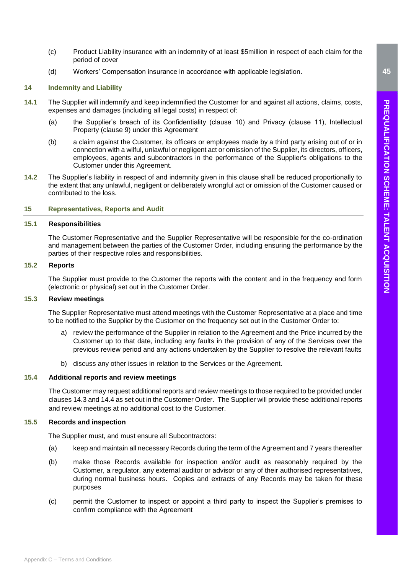- (c) Product Liability insurance with an indemnity of at least \$5million in respect of each claim for the period of cover
- (d) Workers' Compensation insurance in accordance with applicable legislation.

# <span id="page-44-0"></span>**14 Indemnity and Liability**

- **14.1** The Supplier will indemnify and keep indemnified the Customer for and against all actions, claims, costs, expenses and damages (including all legal costs) in respect of:
	- (a) the Supplier's breach of its Confidentiality (clause 10) and Privacy (clause 11), Intellectual Property (clause 9) under this Agreement
	- (b) a claim against the Customer, its officers or employees made by a third party arising out of or in connection with a wilful, unlawful or negligent act or omission of the Supplier, its directors, officers, employees, agents and subcontractors in the performance of the Supplier's obligations to the Customer under this Agreement.
- **14.2** The Supplier's liability in respect of and indemnity given in this clause shall be reduced proportionally to the extent that any unlawful, negligent or deliberately wrongful act or omission of the Customer caused or contributed to the loss.

# <span id="page-44-1"></span>**15 Representatives, Reports and Audit**

### **15.1 Responsibilities**

The Customer Representative and the Supplier Representative will be responsible for the co-ordination and management between the parties of the Customer Order, including ensuring the performance by the parties of their respective roles and responsibilities.

# **15.2 Reports**

The Supplier must provide to the Customer the reports with the content and in the frequency and form (electronic or physical) set out in the Customer Order.

# **15.3 Review meetings**

The Supplier Representative must attend meetings with the Customer Representative at a place and time to be notified to the Supplier by the Customer on the frequency set out in the Customer Order to:

- a) review the performance of the Supplier in relation to the Agreement and the Price incurred by the Customer up to that date, including any faults in the provision of any of the Services over the previous review period and any actions undertaken by the Supplier to resolve the relevant faults
- b) discuss any other issues in relation to the Services or the Agreement.

# **15.4 Additional reports and review meetings**

The Customer may request additional reports and review meetings to those required to be provided under clauses 14.3 and 14.4 as set out in the Customer Order. The Supplier will provide these additional reports and review meetings at no additional cost to the Customer.

# **15.5 Records and inspection**

The Supplier must, and must ensure all Subcontractors:

- (a) keep and maintain all necessary Records during the term of the Agreement and 7 years thereafter
- (b) make those Records available for inspection and/or audit as reasonably required by the Customer, a regulator, any external auditor or advisor or any of their authorised representatives, during normal business hours. Copies and extracts of any Records may be taken for these purposes
- (c) permit the Customer to inspect or appoint a third party to inspect the Supplier's premises to confirm compliance with the Agreement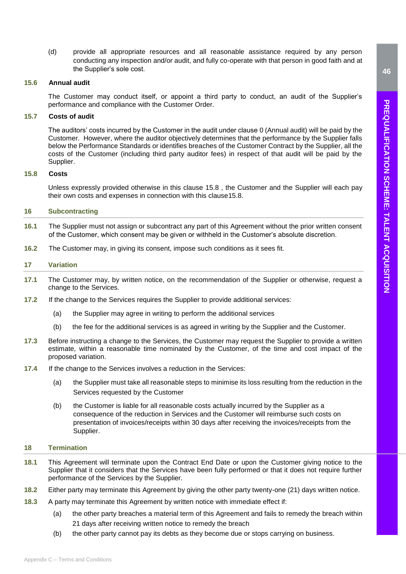(d) provide all appropriate resources and all reasonable assistance required by any person conducting any inspection and/or audit, and fully co-operate with that person in good faith and at the Supplier's sole cost.

### <span id="page-45-3"></span>**15.6 Annual audit**

The Customer may conduct itself, or appoint a third party to conduct, an audit of the Supplier's performance and compliance with the Customer Order.

# **15.7 Costs of audit**

The auditors' costs incurred by the Customer in the audit under clause [0](#page-45-3) (Annual audit) will be paid by the Customer. However, where the auditor objectively determines that the performance by the Supplier falls below the Performance Standards or identifies breaches of the Customer Contract by the Supplier, all the costs of the Customer (including third party auditor fees) in respect of that audit will be paid by the Supplier.

# **15.8 Costs**

Unless expressly provided otherwise in this clause 15.8 , the Customer and the Supplier will each pay their own costs and expenses in connection with this clause15.8.

# <span id="page-45-0"></span>**16 Subcontracting**

- **16.1** The Supplier must not assign or subcontract any part of this Agreement without the prior written consent of the Customer, which consent may be given or withheld in the Customer's absolute discretion.
- **16.2** The Customer may, in giving its consent, impose such conditions as it sees fit.

# <span id="page-45-1"></span>**17 Variation**

- **17.1** The Customer may, by written notice, on the recommendation of the Supplier or otherwise, request a change to the Services.
- **17.2** If the change to the Services requires the Supplier to provide additional services:
	- (a) the Supplier may agree in writing to perform the additional services
	- (b) the fee for the additional services is as agreed in writing by the Supplier and the Customer.
- **17.3** Before instructing a change to the Services, the Customer may request the Supplier to provide a written estimate, within a reasonable time nominated by the Customer, of the time and cost impact of the proposed variation.
- **17.4** If the change to the Services involves a reduction in the Services:
	- (a) the Supplier must take all reasonable steps to minimise its loss resulting from the reduction in the Services requested by the Customer
	- (b) the Customer is liable for all reasonable costs actually incurred by the Supplier as a consequence of the reduction in Services and the Customer will reimburse such costs on presentation of invoices/receipts within 30 days after receiving the invoices/receipts from the Supplier.

# <span id="page-45-2"></span>**18 Termination**

- **18.1** This Agreement will terminate upon the Contract End Date or upon the Customer giving notice to the Supplier that it considers that the Services have been fully performed or that it does not require further performance of the Services by the Supplier.
- <span id="page-45-4"></span>**18.2** Either party may terminate this Agreement by giving the other party twenty-one (21) days written notice.
- **18.3** A party may terminate this Agreement by written notice with immediate effect if:
	- (a) the other party breaches a material term of this Agreement and fails to remedy the breach within 21 days after receiving written notice to remedy the breach
	- (b) the other party cannot pay its debts as they become due or stops carrying on business.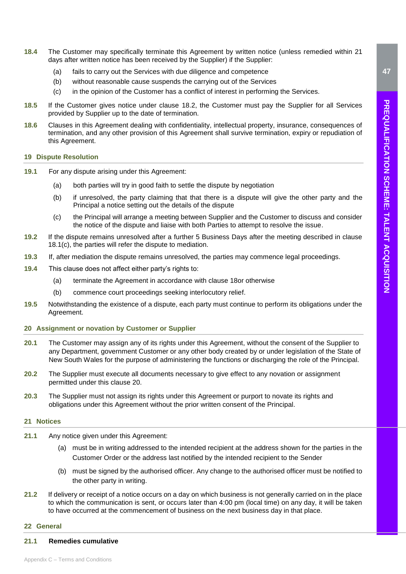- **18.4** The Customer may specifically terminate this Agreement by written notice (unless remedied within 21 days after written notice has been received by the Supplier) if the Supplier:
	- (a) fails to carry out the Services with due diligence and competence
	- (b) without reasonable cause suspends the carrying out of the Services
	- (c) in the opinion of the Customer has a conflict of interest in performing the Services.
- **18.5** If the Customer gives notice under clause [18.2,](#page-45-4) the Customer must pay the Supplier for all Services provided by Supplier up to the date of termination.
- **18.6** Clauses in this Agreement dealing with confidentiality, intellectual property, insurance, consequences of termination, and any other provision of this Agreement shall survive termination, expiry or repudiation of this Agreement.

# <span id="page-46-0"></span>**19 Dispute Resolution**

- **19.1** For any dispute arising under this Agreement:
	- (a) both parties will try in good faith to settle the dispute by negotiation
	- (b) if unresolved, the party claiming that that there is a dispute will give the other party and the Principal a notice setting out the details of the dispute
	- (c) the Principal will arrange a meeting between Supplier and the Customer to discuss and consider the notice of the dispute and liaise with both Parties to attempt to resolve the issue.
- **19.2** If the dispute remains unresolved after a further 5 Business Days after the meeting described in clause 18.1(c), the parties will refer the dispute to mediation.
- **19.3** If, after mediation the dispute remains unresolved, the parties may commence legal proceedings.
- **19.4** This clause does not affect either party's rights to:
	- (a) terminate the Agreement in accordance with clause [18o](#page-45-2)r otherwise
	- (b) commence court proceedings seeking interlocutory relief.
- **19.5** Notwithstanding the existence of a dispute, each party must continue to perform its obligations under the Agreement.
- <span id="page-46-1"></span>**20 Assignment or novation by Customer or Supplier**
- **20.1** The Customer may assign any of its rights under this Agreement, without the consent of the Supplier to any Department, government Customer or any other body created by or under legislation of the State of New South Wales for the purpose of administering the functions or discharging the role of the Principal.
- **20.2** The Supplier must execute all documents necessary to give effect to any novation or assignment permitted under this clause [20.](#page-46-1)
- **20.3** The Supplier must not assign its rights under this Agreement or purport to novate its rights and obligations under this Agreement without the prior written consent of the Principal.

# <span id="page-46-2"></span>**21 Notices**

- **21.1** Any notice given under this Agreement:
	- (a) must be in writing addressed to the intended recipient at the address shown for the parties in the Customer Order or the address last notified by the intended recipient to the Sender
	- (b) must be signed by the authorised officer. Any change to the authorised officer must be notified to the other party in writing.
- **21.2** If delivery or receipt of a notice occurs on a day on which business is not generally carried on in the place to which the communication is sent, or occurs later than 4:00 pm (local time) on any day, it will be taken to have occurred at the commencement of business on the next business day in that place.

# <span id="page-46-3"></span>**22 General**

# **21.1 Remedies cumulative**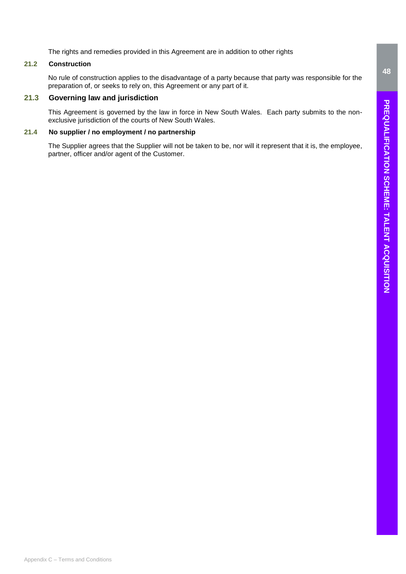The rights and remedies provided in this Agreement are in addition to other rights

# **21.2 Construction**

No rule of construction applies to the disadvantage of a party because that party was responsible for the preparation of, or seeks to rely on, this Agreement or any part of it.

# **21.3 Governing law and jurisdiction**

This Agreement is governed by the law in force in New South Wales. Each party submits to the nonexclusive jurisdiction of the courts of New South Wales.

# **21.4 No supplier / no employment / no partnership**

The Supplier agrees that the Supplier will not be taken to be, nor will it represent that it is, the employee, partner, officer and/or agent of the Customer.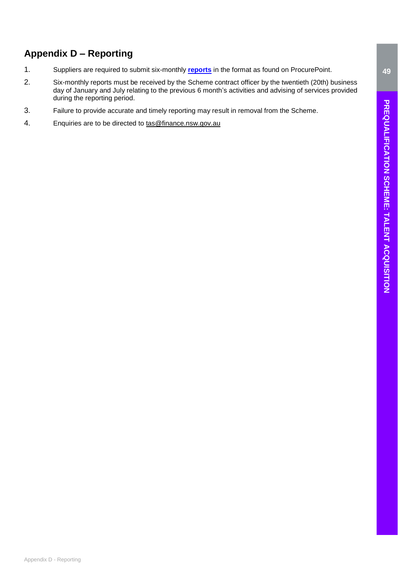# **Appendix D – Reporting**

- 1. Suppliers are required to submit six-monthly **[reports](https://procurepoint.nsw.gov.au/documents/talent-acquisition-scheme-reporting-template-suppliers.xlsx)** in the format as found on ProcurePoint.
- 2. Six-monthly reports must be received by the Scheme contract officer by the twentieth (20th) business day of January and July relating to the previous 6 month's activities and advising of services provided during the reporting period.
- 3. Failure to provide accurate and timely reporting may result in removal from the Scheme.
- 4. Enquiries are to be directed to [tas@finance.nsw.gov.au](mailto:tas@finance.nsw.gov.au)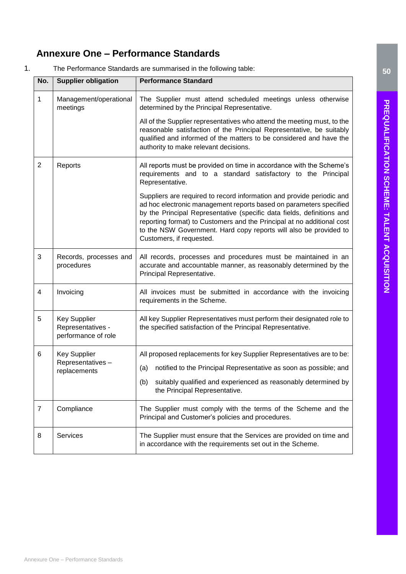# <span id="page-49-0"></span>**Annexure One – Performance Standards**

1. The Performance Standards are summarised in the following table:

| No.            | <b>Supplier obligation</b>                                      | <b>Performance Standard</b>                                                                                                                                                                                                                                                                                                                                                                      |  |
|----------------|-----------------------------------------------------------------|--------------------------------------------------------------------------------------------------------------------------------------------------------------------------------------------------------------------------------------------------------------------------------------------------------------------------------------------------------------------------------------------------|--|
| 1              | Management/operational<br>meetings                              | The Supplier must attend scheduled meetings unless otherwise<br>determined by the Principal Representative.                                                                                                                                                                                                                                                                                      |  |
|                |                                                                 | All of the Supplier representatives who attend the meeting must, to the<br>reasonable satisfaction of the Principal Representative, be suitably<br>qualified and informed of the matters to be considered and have the<br>authority to make relevant decisions.                                                                                                                                  |  |
| $\overline{2}$ | Reports                                                         | All reports must be provided on time in accordance with the Scheme's<br>requirements and to a standard satisfactory to the Principal<br>Representative.                                                                                                                                                                                                                                          |  |
|                |                                                                 | Suppliers are required to record information and provide periodic and<br>ad hoc electronic management reports based on parameters specified<br>by the Principal Representative (specific data fields, definitions and<br>reporting format) to Customers and the Principal at no additional cost<br>to the NSW Government. Hard copy reports will also be provided to<br>Customers, if requested. |  |
| 3              | Records, processes and<br>procedures                            | All records, processes and procedures must be maintained in an<br>accurate and accountable manner, as reasonably determined by the<br>Principal Representative.                                                                                                                                                                                                                                  |  |
| 4              | Invoicing                                                       | All invoices must be submitted in accordance with the invoicing<br>requirements in the Scheme.                                                                                                                                                                                                                                                                                                   |  |
| 5              | <b>Key Supplier</b><br>Representatives -<br>performance of role | All key Supplier Representatives must perform their designated role to<br>the specified satisfaction of the Principal Representative.                                                                                                                                                                                                                                                            |  |
| 6              | <b>Key Supplier</b><br>Representatives-<br>replacements         | All proposed replacements for key Supplier Representatives are to be:<br>notified to the Principal Representative as soon as possible; and<br>(a)<br>(b) suitably qualified and experienced as reasonably determined by<br>the Principal Representative.                                                                                                                                         |  |
| $\overline{7}$ | Compliance                                                      | The Supplier must comply with the terms of the Scheme and the<br>Principal and Customer's policies and procedures.                                                                                                                                                                                                                                                                               |  |
| 8              | Services                                                        | The Supplier must ensure that the Services are provided on time and<br>in accordance with the requirements set out in the Scheme.                                                                                                                                                                                                                                                                |  |

**50**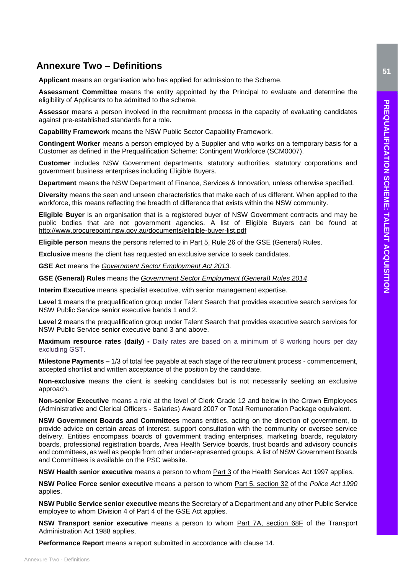# <span id="page-50-0"></span>**Annexure Two – Definitions**

**Applicant** means an organisation who has applied for admission to the Scheme.

**Assessment Committee** means the entity appointed by the Principal to evaluate and determine the eligibility of Applicants to be admitted to the scheme.

**Assessor** means a person involved in the recruitment process in the capacity of evaluating candidates against pre-established standards for a role.

**Capability Framework** means the [NSW Public Sector Capability Framework.](https://www.psc.nsw.gov.au/workforce-management/capability-framework)

**Contingent Worker** means a person employed by a Supplier and who works on a temporary basis for a Customer as defined in the Prequalification Scheme: Contingent Workforce (SCM0007).

**Customer** includes NSW Government departments, statutory authorities, statutory corporations and government business enterprises including Eligible Buyers.

**Department** means the NSW Department of Finance, Services & Innovation, unless otherwise specified.

**Diversity** means the seen and unseen characteristics that make each of us different. When applied to the workforce, this means reflecting the breadth of difference that exists within the NSW community.

**Eligible Buyer** is an organisation that is a registered buyer of NSW Government contracts and may be public bodies that are not government agencies. A list of Eligible Buyers can be found at <http://www.procurepoint.nsw.gov.au/documents/eligible-buyer-list.pdf>

**Eligible person** means the persons referred to in [Part 5, Rule 26](https://www.legislation.nsw.gov.au/#/view/regulation/2014/65/part5/rule.26) of the GSE (General) Rules.

**Exclusive** means the client has requested an exclusive service to seek candidates.

**GSE Act** means the *[Government Sector Employment Act 2013](https://www.legislation.nsw.gov.au/#/view/act/2013/40)*.

**GSE (General) Rules** means the *[Government Sector Employment \(General\) Rules 2014](https://www.legislation.nsw.gov.au/#/view/regulation/2014/65)*.

**Interim Executive** means specialist executive, with senior management expertise.

**Level 1** means the prequalification group under Talent Search that provides executive search services for NSW Public Service senior executive bands 1 and 2.

**Level 2** means the prequalification group under Talent Search that provides executive search services for NSW Public Service senior executive band 3 and above.

**Maximum resource rates (daily) -** Daily rates are based on a minimum of 8 working hours per day excluding GST.

**Milestone Payments –** 1/3 of total fee payable at each stage of the recruitment process - commencement, accepted shortlist and written acceptance of the position by the candidate.

**Non-exclusive** means the client is seeking candidates but is not necessarily seeking an exclusive approach.

**Non-senior Executive** means a role at the level of Clerk Grade 12 and below in the Crown Employees (Administrative and Clerical Officers - Salaries) Award 2007 or Total Remuneration Package equivalent.

**NSW Government Boards and Committees** means entities, acting on the direction of government, to provide advice on certain areas of interest, support consultation with the community or oversee service delivery. Entities encompass boards of government trading enterprises, marketing boards, regulatory boards, professional registration boards, Area Health Service boards, trust boards and advisory councils and committees, as well as people from other under-represented groups. A [list o](https://www.psc.nsw.gov.au/policy---legislation/nsw-government-boards-and-committees)f NSW Government Boards and Committees is available on the PSC website.

**NSW Health senior executive** means a person to whom [Part 3](https://www.legislation.nsw.gov.au/#/view/act/1997/154/chap9/part3) of the Health Services Act 1997 applies.

**NSW Police Force senior executive** means a person to whom [Part 5, section 32](https://www.legislation.nsw.gov.au/#/view/act/1990/47/part5) of the *Police Act 1990* applies.

**NSW Public Service senior executive** means the Secretary of a Department and any other Public Service employee to whom [Division 4 of Part 4](https://www.legislation.nsw.gov.au/#/view/act/2013/40/part4/div4) of the GSE Act applies.

**NSW Transport senior executive** means a person to whom [Part 7A, section 68F](https://www.legislation.nsw.gov.au/#/view/act/1988/109/part7a) of the Transport Administration Act 1988 applies,

**Performance Report** means a report submitted in accordance with clause 14.